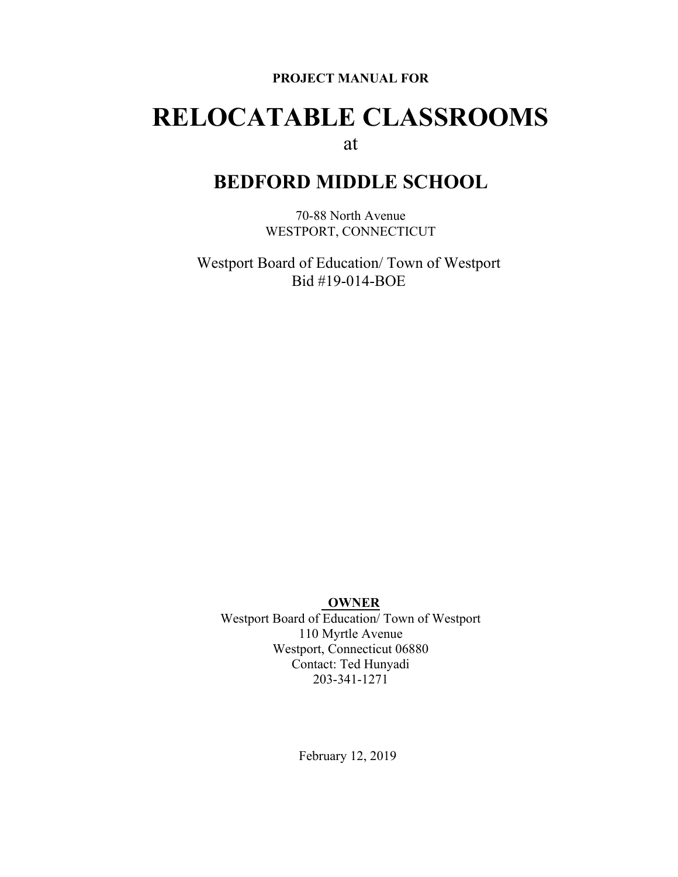#### **PROJECT MANUAL FOR**

# **RELOCATABLE CLASSROOMS** at

## **BEDFORD MIDDLE SCHOOL**

70-88 North Avenue WESTPORT, CONNECTICUT

Westport Board of Education/ Town of Westport Bid #19-014-BOE

#### **OWNER**

Westport Board of Education/ Town of Westport 110 Myrtle Avenue Westport, Connecticut 06880 Contact: Ted Hunyadi 203-341-1271

February 12, 2019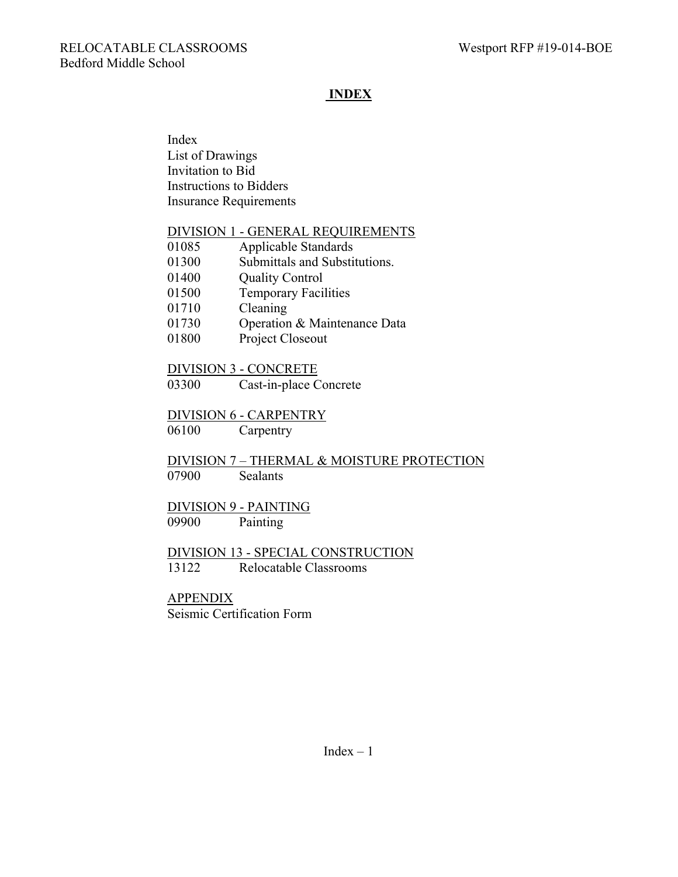## **INDEX**

Index List of Drawings Invitation to Bid Instructions to Bidders Insurance Requirements

#### DIVISION 1 - GENERAL REQUIREMENTS

| 01085 | Applicable Standards          |
|-------|-------------------------------|
| 01300 | Submittals and Substitutions. |
| 01400 | <b>Quality Control</b>        |
| 01500 | <b>Temporary Facilities</b>   |
| 01710 | Cleaning                      |
| 01730 | Operation & Maintenance Data  |
|       |                               |

01800 Project Closeout

#### DIVISION 3 - CONCRETE

03300 Cast-in-place Concrete

#### DIVISION 6 - CARPENTRY

06100 Carpentry

DIVISION 7 – THERMAL & MOISTURE PROTECTION 07900 Sealants

# DIVISION 9 - PAINTING

09900 Painting

### DIVISION 13 - SPECIAL CONSTRUCTION 13122 Relocatable Classrooms

# APPENDIX

Seismic Certification Form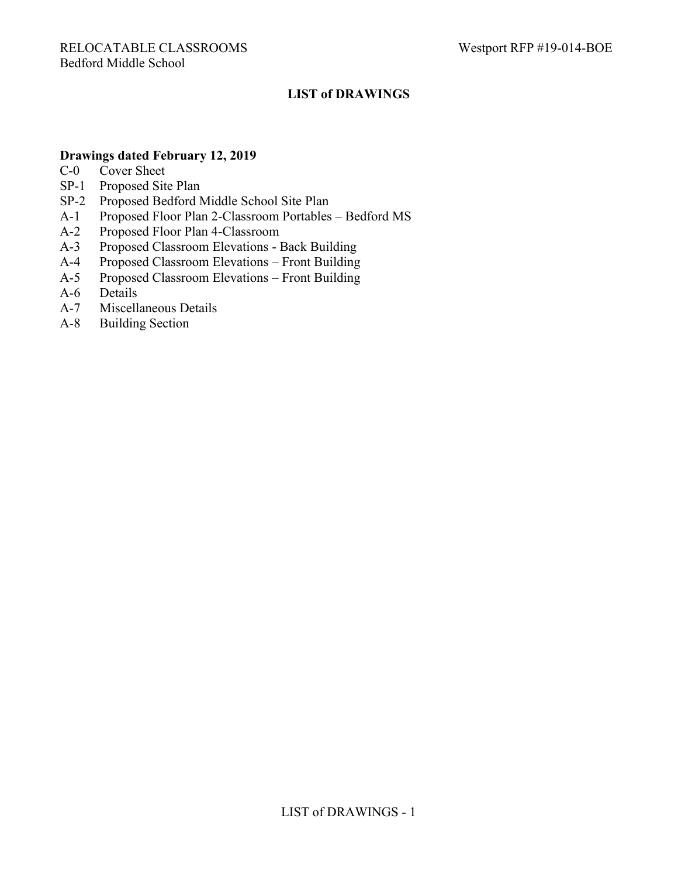## **LIST of DRAWINGS**

### **Drawings dated February 12, 2019**

- C-0 Cover Sheet
- SP-1 Proposed Site Plan
- SP-2 Proposed Bedford Middle School Site Plan
- A-1 Proposed Floor Plan 2-Classroom Portables Bedford MS
- A-2 Proposed Floor Plan 4-Classroom
- A-3 Proposed Classroom Elevations Back Building
- A-4 Proposed Classroom Elevations Front Building
- A-5 Proposed Classroom Elevations Front Building
- A-6 Details
- A-7 Miscellaneous Details
- A-8 Building Section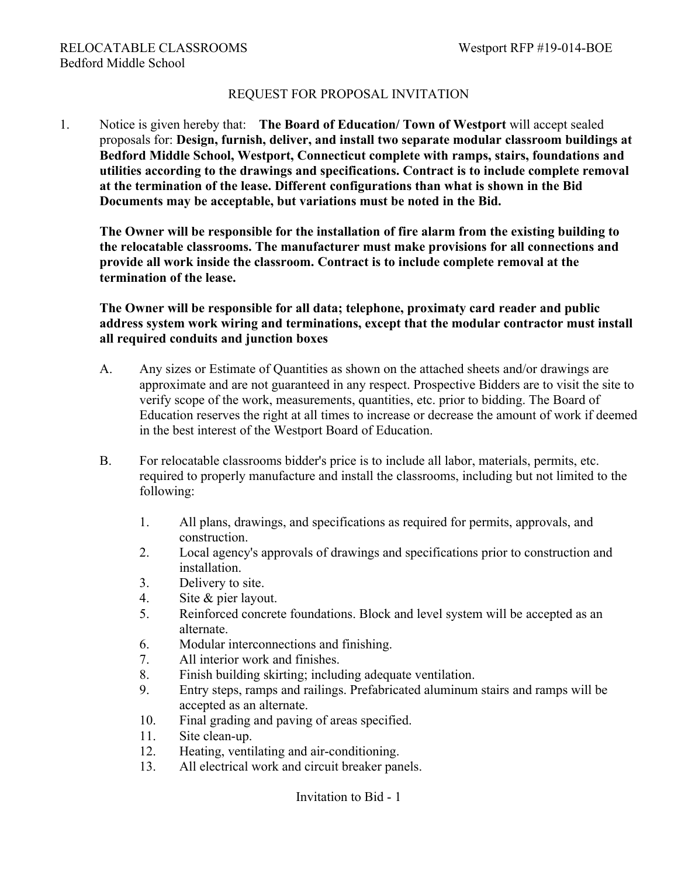## REQUEST FOR PROPOSAL INVITATION

1. Notice is given hereby that: **The Board of Education/ Town of Westport** will accept sealed proposals for: **Design, furnish, deliver, and install two separate modular classroom buildings at Bedford Middle School, Westport, Connecticut complete with ramps, stairs, foundations and utilities according to the drawings and specifications. Contract is to include complete removal at the termination of the lease. Different configurations than what is shown in the Bid Documents may be acceptable, but variations must be noted in the Bid.**

**The Owner will be responsible for the installation of fire alarm from the existing building to the relocatable classrooms. The manufacturer must make provisions for all connections and provide all work inside the classroom. Contract is to include complete removal at the termination of the lease.**

**The Owner will be responsible for all data; telephone, proximaty card reader and public address system work wiring and terminations, except that the modular contractor must install all required conduits and junction boxes**

- A. Any sizes or Estimate of Quantities as shown on the attached sheets and/or drawings are approximate and are not guaranteed in any respect. Prospective Bidders are to visit the site to verify scope of the work, measurements, quantities, etc. prior to bidding. The Board of Education reserves the right at all times to increase or decrease the amount of work if deemed in the best interest of the Westport Board of Education.
- B. For relocatable classrooms bidder's price is to include all labor, materials, permits, etc. required to properly manufacture and install the classrooms, including but not limited to the following:
	- 1. All plans, drawings, and specifications as required for permits, approvals, and construction.
	- 2. Local agency's approvals of drawings and specifications prior to construction and installation.
	- 3. Delivery to site.
	- 4. Site & pier layout.
	- 5. Reinforced concrete foundations. Block and level system will be accepted as an alternate.
	- 6. Modular interconnections and finishing.
	- 7. All interior work and finishes.
	- 8. Finish building skirting; including adequate ventilation.
	- 9. Entry steps, ramps and railings. Prefabricated aluminum stairs and ramps will be accepted as an alternate.
	- 10. Final grading and paving of areas specified.
	- 11. Site clean-up.
	- 12. Heating, ventilating and air-conditioning.
	- 13. All electrical work and circuit breaker panels.

Invitation to Bid - 1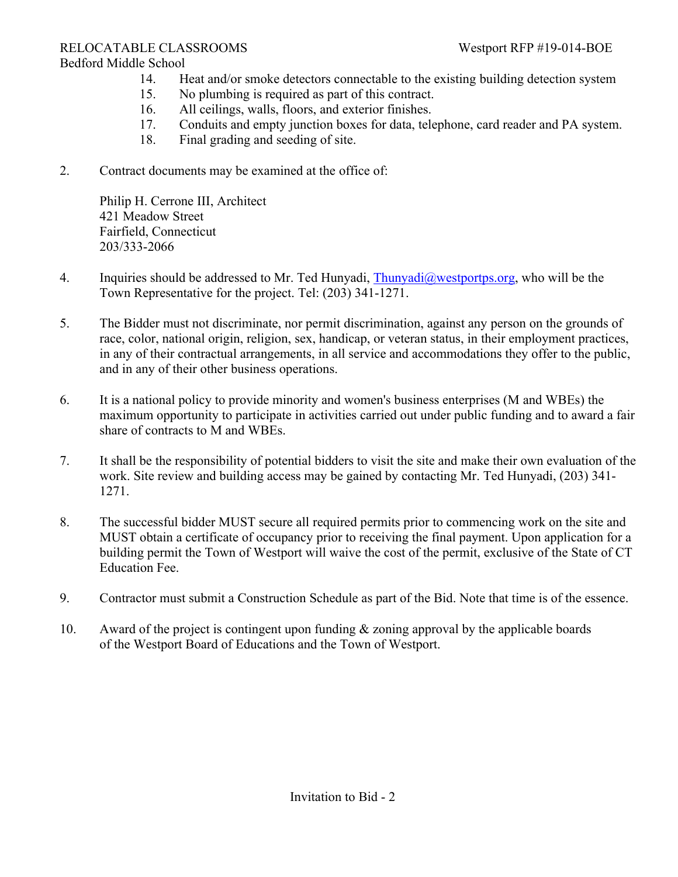## RELOCATABLE CLASSROOMS Westport RFP #19-014-BOE

#### Bedford Middle School

- 14. Heat and/or smoke detectors connectable to the existing building detection system
- 15. No plumbing is required as part of this contract.
- 16. All ceilings, walls, floors, and exterior finishes.
- 17. Conduits and empty junction boxes for data, telephone, card reader and PA system.
- 18. Final grading and seeding of site.
- 2. Contract documents may be examined at the office of:

Philip H. Cerrone III, Architect 421 Meadow Street Fairfield, Connecticut 203/333-2066

- 4. Inquiries should be addressed to Mr. Ted Hunyadi, [Thunyadi@westportps.org](mailto:Thunyadi@westportps.org), who will be the Town Representative for the project. Tel: (203) 341-1271.
- 5. The Bidder must not discriminate, nor permit discrimination, against any person on the grounds of race, color, national origin, religion, sex, handicap, or veteran status, in their employment practices, in any of their contractual arrangements, in all service and accommodations they offer to the public, and in any of their other business operations.
- 6. It is a national policy to provide minority and women's business enterprises (M and WBEs) the maximum opportunity to participate in activities carried out under public funding and to award a fair share of contracts to M and WBEs.
- 7. It shall be the responsibility of potential bidders to visit the site and make their own evaluation of the work. Site review and building access may be gained by contacting Mr. Ted Hunyadi, (203) 341- 1271.
- 8. The successful bidder MUST secure all required permits prior to commencing work on the site and MUST obtain a certificate of occupancy prior to receiving the final payment. Upon application for a building permit the Town of Westport will waive the cost of the permit, exclusive of the State of CT Education Fee.
- 9. Contractor must submit a Construction Schedule as part of the Bid. Note that time is of the essence.
- 10. Award of the project is contingent upon funding & zoning approval by the applicable boards of the Westport Board of Educations and the Town of Westport.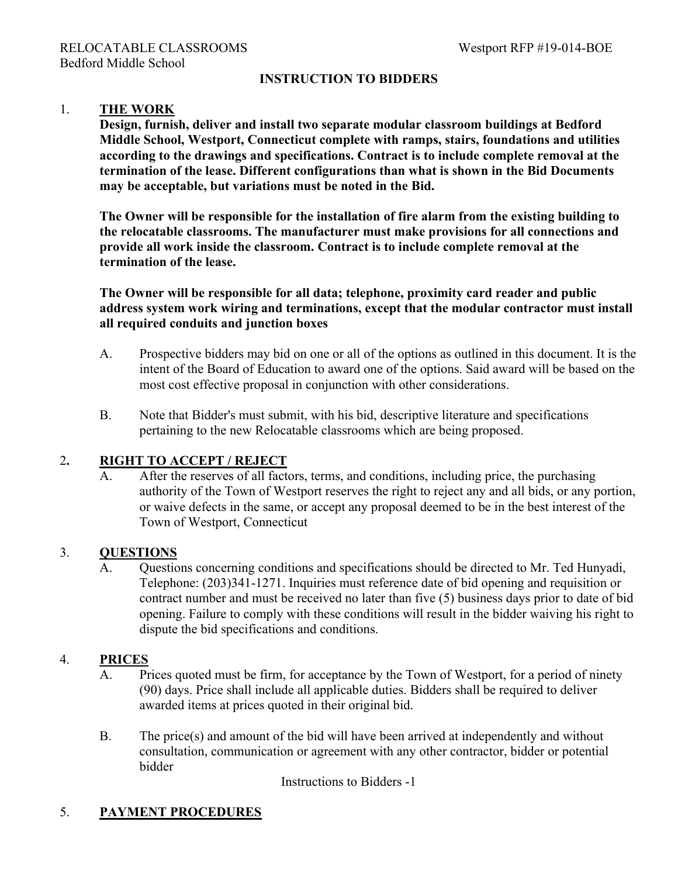## **INSTRUCTION TO BIDDERS**

#### 1. **THE WORK**

**Design, furnish, deliver and install two separate modular classroom buildings at Bedford Middle School, Westport, Connecticut complete with ramps, stairs, foundations and utilities according to the drawings and specifications. Contract is to include complete removal at the termination of the lease. Different configurations than what is shown in the Bid Documents may be acceptable, but variations must be noted in the Bid.**

**The Owner will be responsible for the installation of fire alarm from the existing building to the relocatable classrooms. The manufacturer must make provisions for all connections and provide all work inside the classroom. Contract is to include complete removal at the termination of the lease.**

**The Owner will be responsible for all data; telephone, proximity card reader and public address system work wiring and terminations, except that the modular contractor must install all required conduits and junction boxes**

- A. Prospective bidders may bid on one or all of the options as outlined in this document. It is the intent of the Board of Education to award one of the options. Said award will be based on the most cost effective proposal in conjunction with other considerations.
- B. Note that Bidder's must submit, with his bid, descriptive literature and specifications pertaining to the new Relocatable classrooms which are being proposed.

#### 2**. RIGHT TO ACCEPT / REJECT**

A. After the reserves of all factors, terms, and conditions, including price, the purchasing authority of the Town of Westport reserves the right to reject any and all bids, or any portion, or waive defects in the same, or accept any proposal deemed to be in the best interest of the Town of Westport, Connecticut

#### 3. **QUESTIONS**

A. Questions concerning conditions and specifications should be directed to Mr. Ted Hunyadi, Telephone: (203)341-1271. Inquiries must reference date of bid opening and requisition or contract number and must be received no later than five (5) business days prior to date of bid opening. Failure to comply with these conditions will result in the bidder waiving his right to dispute the bid specifications and conditions.

#### 4. **PRICES**

- A. Prices quoted must be firm, for acceptance by the Town of Westport, for a period of ninety (90) days. Price shall include all applicable duties. Bidders shall be required to deliver awarded items at prices quoted in their original bid.
- B. The price(s) and amount of the bid will have been arrived at independently and without consultation, communication or agreement with any other contractor, bidder or potential bidder

Instructions to Bidders -1

## 5. **PAYMENT PROCEDURES**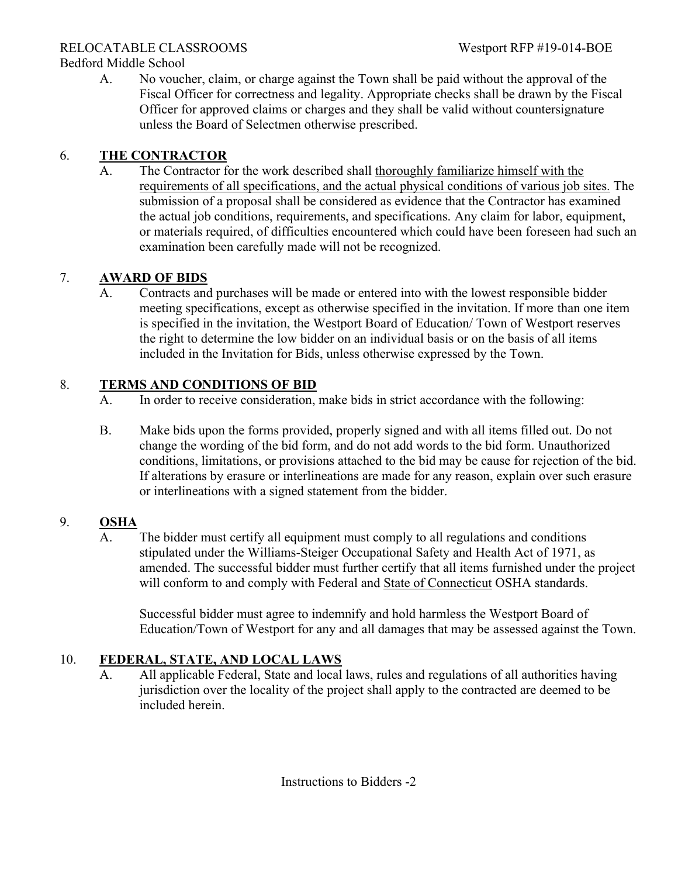## RELOCATABLE CLASSROOMS Westport RFP #19-014-BOE

Bedford Middle School

A. No voucher, claim, or charge against the Town shall be paid without the approval of the Fiscal Officer for correctness and legality. Appropriate checks shall be drawn by the Fiscal Officer for approved claims or charges and they shall be valid without countersignature unless the Board of Selectmen otherwise prescribed.

## 6. **THE CONTRACTOR**

A. The Contractor for the work described shall thoroughly familiarize himself with the requirements of all specifications, and the actual physical conditions of various job sites. The submission of a proposal shall be considered as evidence that the Contractor has examined the actual job conditions, requirements, and specifications. Any claim for labor, equipment, or materials required, of difficulties encountered which could have been foreseen had such an examination been carefully made will not be recognized.

## 7. **AWARD OF BIDS**

A. Contracts and purchases will be made or entered into with the lowest responsible bidder meeting specifications, except as otherwise specified in the invitation. If more than one item is specified in the invitation, the Westport Board of Education/ Town of Westport reserves the right to determine the low bidder on an individual basis or on the basis of all items included in the Invitation for Bids, unless otherwise expressed by the Town.

## 8. **TERMS AND CONDITIONS OF BID**

- A. In order to receive consideration, make bids in strict accordance with the following:
- B. Make bids upon the forms provided, properly signed and with all items filled out. Do not change the wording of the bid form, and do not add words to the bid form. Unauthorized conditions, limitations, or provisions attached to the bid may be cause for rejection of the bid. If alterations by erasure or interlineations are made for any reason, explain over such erasure or interlineations with a signed statement from the bidder.

## 9. **OSHA**

A. The bidder must certify all equipment must comply to all regulations and conditions stipulated under the Williams-Steiger Occupational Safety and Health Act of 1971, as amended. The successful bidder must further certify that all items furnished under the project will conform to and comply with Federal and State of Connecticut OSHA standards.

Successful bidder must agree to indemnify and hold harmless the Westport Board of Education/Town of Westport for any and all damages that may be assessed against the Town.

## 10. **FEDERAL, STATE, AND LOCAL LAWS**

A. All applicable Federal, State and local laws, rules and regulations of all authorities having jurisdiction over the locality of the project shall apply to the contracted are deemed to be included herein.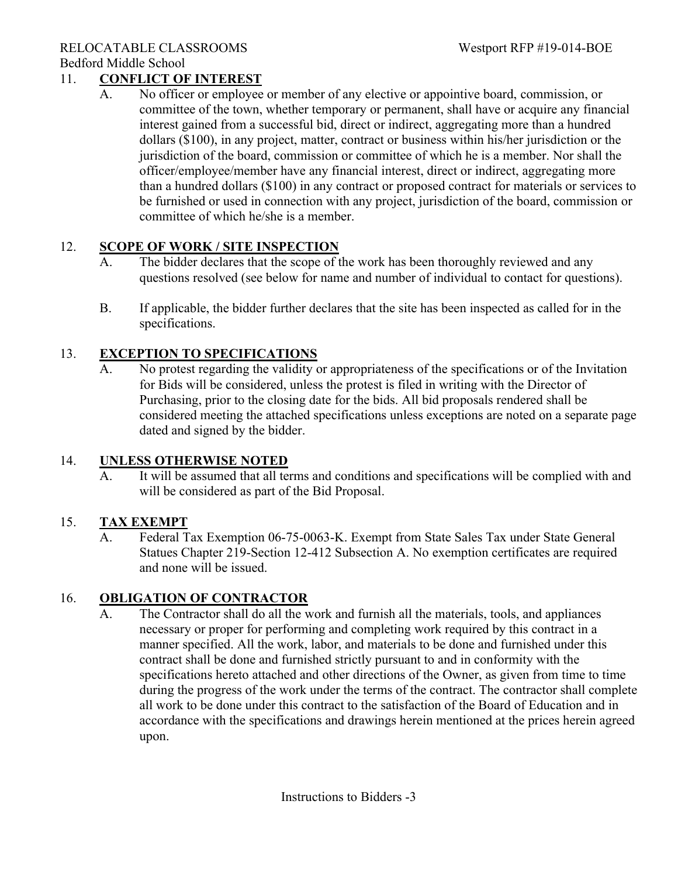#### RELOCATABLE CLASSROOMS Westport RFP #19-014-BOE Bedford Middle School

## 11. **CONFLICT OF INTEREST**

A. No officer or employee or member of any elective or appointive board, commission, or committee of the town, whether temporary or permanent, shall have or acquire any financial interest gained from a successful bid, direct or indirect, aggregating more than a hundred dollars (\$100), in any project, matter, contract or business within his/her jurisdiction or the jurisdiction of the board, commission or committee of which he is a member. Nor shall the officer/employee/member have any financial interest, direct or indirect, aggregating more than a hundred dollars (\$100) in any contract or proposed contract for materials or services to be furnished or used in connection with any project, jurisdiction of the board, commission or committee of which he/she is a member.

## 12. **SCOPE OF WORK / SITE INSPECTION**

- A. The bidder declares that the scope of the work has been thoroughly reviewed and any questions resolved (see below for name and number of individual to contact for questions).
- B. If applicable, the bidder further declares that the site has been inspected as called for in the specifications.

## 13. **EXCEPTION TO SPECIFICATIONS**

A. No protest regarding the validity or appropriateness of the specifications or of the Invitation for Bids will be considered, unless the protest is filed in writing with the Director of Purchasing, prior to the closing date for the bids. All bid proposals rendered shall be considered meeting the attached specifications unless exceptions are noted on a separate page dated and signed by the bidder.

## 14. **UNLESS OTHERWISE NOTED**

A. It will be assumed that all terms and conditions and specifications will be complied with and will be considered as part of the Bid Proposal.

## 15. **TAX EXEMPT**

A. Federal Tax Exemption 06-75-0063-K. Exempt from State Sales Tax under State General Statues Chapter 219-Section 12-412 Subsection A. No exemption certificates are required and none will be issued.

## 16. **OBLIGATION OF CONTRACTOR**

A. The Contractor shall do all the work and furnish all the materials, tools, and appliances necessary or proper for performing and completing work required by this contract in a manner specified. All the work, labor, and materials to be done and furnished under this contract shall be done and furnished strictly pursuant to and in conformity with the specifications hereto attached and other directions of the Owner, as given from time to time during the progress of the work under the terms of the contract. The contractor shall complete all work to be done under this contract to the satisfaction of the Board of Education and in accordance with the specifications and drawings herein mentioned at the prices herein agreed upon.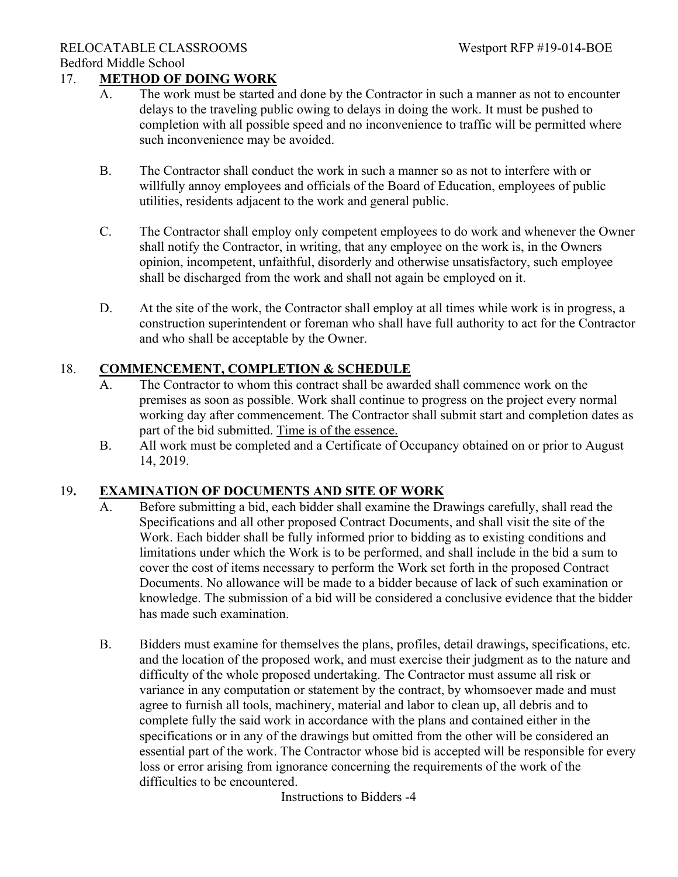## 17. **METHOD OF DOING WORK**

- A. The work must be started and done by the Contractor in such a manner as not to encounter delays to the traveling public owing to delays in doing the work. It must be pushed to completion with all possible speed and no inconvenience to traffic will be permitted where such inconvenience may be avoided.
- B. The Contractor shall conduct the work in such a manner so as not to interfere with or willfully annoy employees and officials of the Board of Education, employees of public utilities, residents adjacent to the work and general public.
- C. The Contractor shall employ only competent employees to do work and whenever the Owner shall notify the Contractor, in writing, that any employee on the work is, in the Owners opinion, incompetent, unfaithful, disorderly and otherwise unsatisfactory, such employee shall be discharged from the work and shall not again be employed on it.
- D. At the site of the work, the Contractor shall employ at all times while work is in progress, a construction superintendent or foreman who shall have full authority to act for the Contractor and who shall be acceptable by the Owner.

### 18. **COMMENCEMENT, COMPLETION & SCHEDULE**

- A. The Contractor to whom this contract shall be awarded shall commence work on the premises as soon as possible. Work shall continue to progress on the project every normal working day after commencement. The Contractor shall submit start and completion dates as part of the bid submitted. Time is of the essence.
- B. All work must be completed and a Certificate of Occupancy obtained on or prior to August 14, 2019.

#### 19**. EXAMINATION OF DOCUMENTS AND SITE OF WORK**

- A. Before submitting a bid, each bidder shall examine the Drawings carefully, shall read the Specifications and all other proposed Contract Documents, and shall visit the site of the Work. Each bidder shall be fully informed prior to bidding as to existing conditions and limitations under which the Work is to be performed, and shall include in the bid a sum to cover the cost of items necessary to perform the Work set forth in the proposed Contract Documents. No allowance will be made to a bidder because of lack of such examination or knowledge. The submission of a bid will be considered a conclusive evidence that the bidder has made such examination.
- B. Bidders must examine for themselves the plans, profiles, detail drawings, specifications, etc. and the location of the proposed work, and must exercise their judgment as to the nature and difficulty of the whole proposed undertaking. The Contractor must assume all risk or variance in any computation or statement by the contract, by whomsoever made and must agree to furnish all tools, machinery, material and labor to clean up, all debris and to complete fully the said work in accordance with the plans and contained either in the specifications or in any of the drawings but omitted from the other will be considered an essential part of the work. The Contractor whose bid is accepted will be responsible for every loss or error arising from ignorance concerning the requirements of the work of the difficulties to be encountered.

Instructions to Bidders -4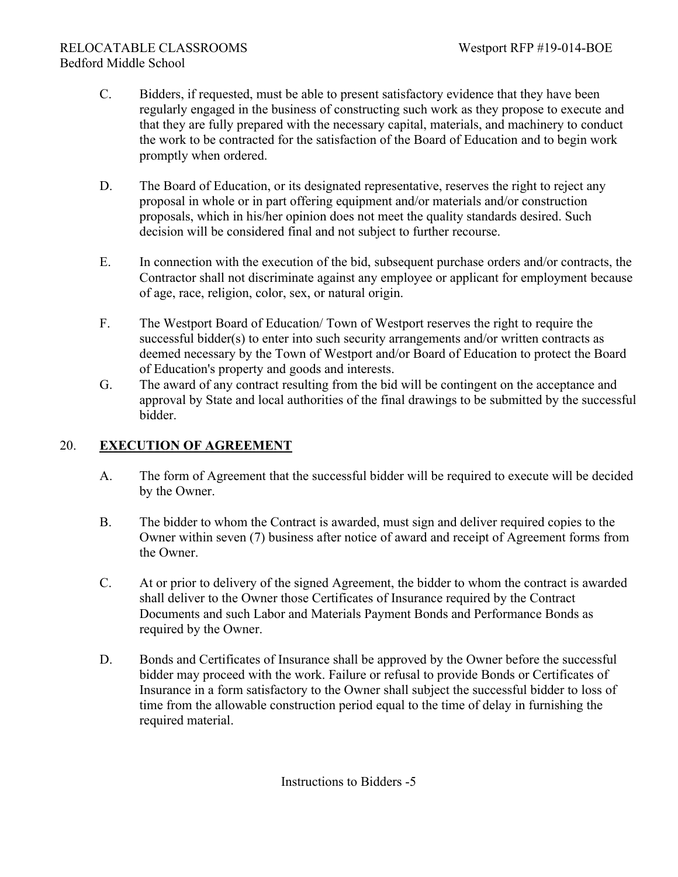- C. Bidders, if requested, must be able to present satisfactory evidence that they have been regularly engaged in the business of constructing such work as they propose to execute and that they are fully prepared with the necessary capital, materials, and machinery to conduct the work to be contracted for the satisfaction of the Board of Education and to begin work promptly when ordered.
- D. The Board of Education, or its designated representative, reserves the right to reject any proposal in whole or in part offering equipment and/or materials and/or construction proposals, which in his/her opinion does not meet the quality standards desired. Such decision will be considered final and not subject to further recourse.
- E. In connection with the execution of the bid, subsequent purchase orders and/or contracts, the Contractor shall not discriminate against any employee or applicant for employment because of age, race, religion, color, sex, or natural origin.
- F. The Westport Board of Education/ Town of Westport reserves the right to require the successful bidder(s) to enter into such security arrangements and/or written contracts as deemed necessary by the Town of Westport and/or Board of Education to protect the Board of Education's property and goods and interests.
- G. The award of any contract resulting from the bid will be contingent on the acceptance and approval by State and local authorities of the final drawings to be submitted by the successful bidder.

## 20. **EXECUTION OF AGREEMENT**

- A. The form of Agreement that the successful bidder will be required to execute will be decided by the Owner.
- B. The bidder to whom the Contract is awarded, must sign and deliver required copies to the Owner within seven (7) business after notice of award and receipt of Agreement forms from the Owner.
- C. At or prior to delivery of the signed Agreement, the bidder to whom the contract is awarded shall deliver to the Owner those Certificates of Insurance required by the Contract Documents and such Labor and Materials Payment Bonds and Performance Bonds as required by the Owner.
- D. Bonds and Certificates of Insurance shall be approved by the Owner before the successful bidder may proceed with the work. Failure or refusal to provide Bonds or Certificates of Insurance in a form satisfactory to the Owner shall subject the successful bidder to loss of time from the allowable construction period equal to the time of delay in furnishing the required material.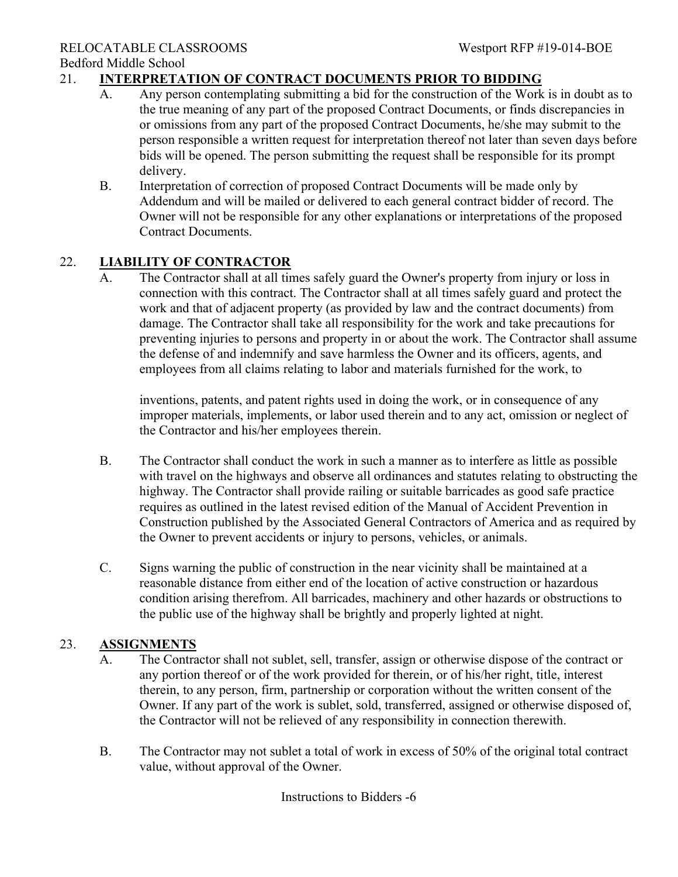## 21. **INTERPRETATION OF CONTRACT DOCUMENTS PRIOR TO BIDDING**

- A. Any person contemplating submitting a bid for the construction of the Work is in doubt as to the true meaning of any part of the proposed Contract Documents, or finds discrepancies in or omissions from any part of the proposed Contract Documents, he/she may submit to the person responsible a written request for interpretation thereof not later than seven days before bids will be opened. The person submitting the request shall be responsible for its prompt delivery.
- B. Interpretation of correction of proposed Contract Documents will be made only by Addendum and will be mailed or delivered to each general contract bidder of record. The Owner will not be responsible for any other explanations or interpretations of the proposed Contract Documents.

## 22. **LIABILITY OF CONTRACTOR**

A. The Contractor shall at all times safely guard the Owner's property from injury or loss in connection with this contract. The Contractor shall at all times safely guard and protect the work and that of adjacent property (as provided by law and the contract documents) from damage. The Contractor shall take all responsibility for the work and take precautions for preventing injuries to persons and property in or about the work. The Contractor shall assume the defense of and indemnify and save harmless the Owner and its officers, agents, and employees from all claims relating to labor and materials furnished for the work, to

inventions, patents, and patent rights used in doing the work, or in consequence of any improper materials, implements, or labor used therein and to any act, omission or neglect of the Contractor and his/her employees therein.

- B. The Contractor shall conduct the work in such a manner as to interfere as little as possible with travel on the highways and observe all ordinances and statutes relating to obstructing the highway. The Contractor shall provide railing or suitable barricades as good safe practice requires as outlined in the latest revised edition of the Manual of Accident Prevention in Construction published by the Associated General Contractors of America and as required by the Owner to prevent accidents or injury to persons, vehicles, or animals.
- C. Signs warning the public of construction in the near vicinity shall be maintained at a reasonable distance from either end of the location of active construction or hazardous condition arising therefrom. All barricades, machinery and other hazards or obstructions to the public use of the highway shall be brightly and properly lighted at night.

## 23. **ASSIGNMENTS**

- A. The Contractor shall not sublet, sell, transfer, assign or otherwise dispose of the contract or any portion thereof or of the work provided for therein, or of his/her right, title, interest therein, to any person, firm, partnership or corporation without the written consent of the Owner. If any part of the work is sublet, sold, transferred, assigned or otherwise disposed of, the Contractor will not be relieved of any responsibility in connection therewith.
- B. The Contractor may not sublet a total of work in excess of 50% of the original total contract value, without approval of the Owner.

Instructions to Bidders -6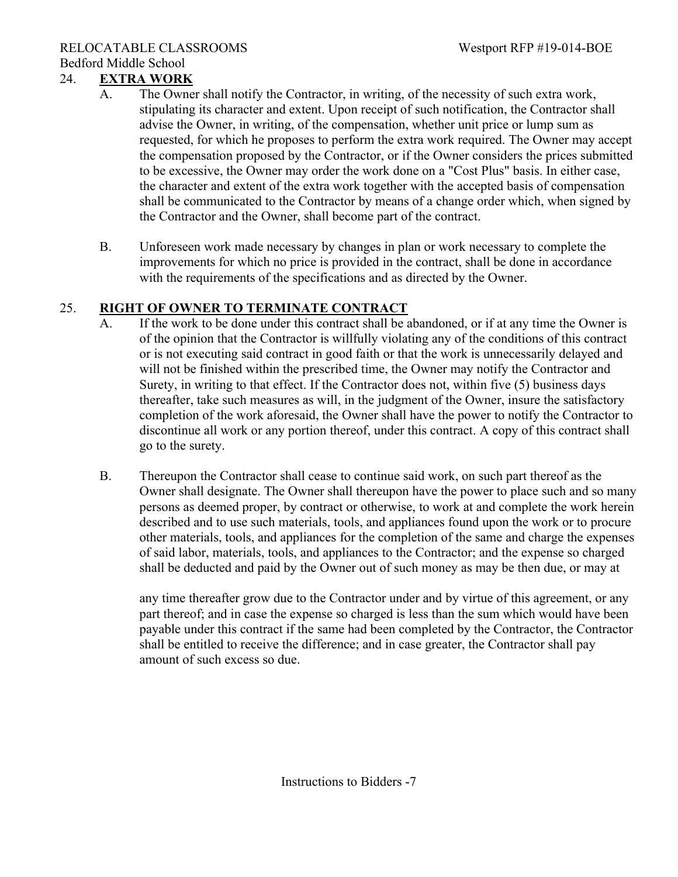## 24. **EXTRA WORK**

- A. The Owner shall notify the Contractor, in writing, of the necessity of such extra work, stipulating its character and extent. Upon receipt of such notification, the Contractor shall advise the Owner, in writing, of the compensation, whether unit price or lump sum as requested, for which he proposes to perform the extra work required. The Owner may accept the compensation proposed by the Contractor, or if the Owner considers the prices submitted to be excessive, the Owner may order the work done on a "Cost Plus" basis. In either case, the character and extent of the extra work together with the accepted basis of compensation shall be communicated to the Contractor by means of a change order which, when signed by the Contractor and the Owner, shall become part of the contract.
- B. Unforeseen work made necessary by changes in plan or work necessary to complete the improvements for which no price is provided in the contract, shall be done in accordance with the requirements of the specifications and as directed by the Owner.

## 25. **RIGHT OF OWNER TO TERMINATE CONTRACT**

- A. If the work to be done under this contract shall be abandoned, or if at any time the Owner is of the opinion that the Contractor is willfully violating any of the conditions of this contract or is not executing said contract in good faith or that the work is unnecessarily delayed and will not be finished within the prescribed time, the Owner may notify the Contractor and Surety, in writing to that effect. If the Contractor does not, within five (5) business days thereafter, take such measures as will, in the judgment of the Owner, insure the satisfactory completion of the work aforesaid, the Owner shall have the power to notify the Contractor to discontinue all work or any portion thereof, under this contract. A copy of this contract shall go to the surety.
- B. Thereupon the Contractor shall cease to continue said work, on such part thereof as the Owner shall designate. The Owner shall thereupon have the power to place such and so many persons as deemed proper, by contract or otherwise, to work at and complete the work herein described and to use such materials, tools, and appliances found upon the work or to procure other materials, tools, and appliances for the completion of the same and charge the expenses of said labor, materials, tools, and appliances to the Contractor; and the expense so charged shall be deducted and paid by the Owner out of such money as may be then due, or may at

any time thereafter grow due to the Contractor under and by virtue of this agreement, or any part thereof; and in case the expense so charged is less than the sum which would have been payable under this contract if the same had been completed by the Contractor, the Contractor shall be entitled to receive the difference; and in case greater, the Contractor shall pay amount of such excess so due.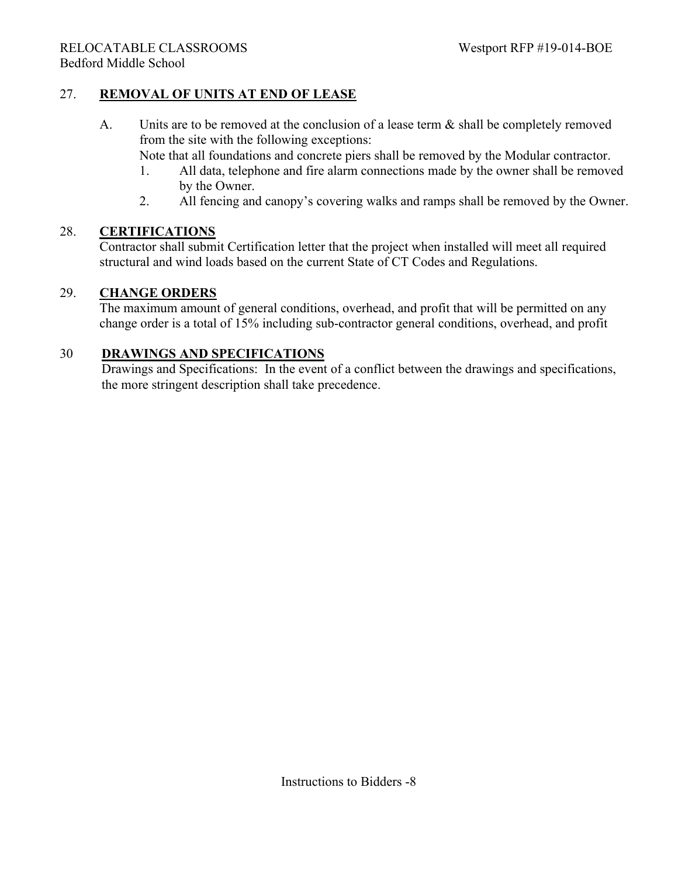## 27. **REMOVAL OF UNITS AT END OF LEASE**

A. Units are to be removed at the conclusion of a lease term & shall be completely removed from the site with the following exceptions:

Note that all foundations and concrete piers shall be removed by the Modular contractor.

- 1. All data, telephone and fire alarm connections made by the owner shall be removed by the Owner.
- 2. All fencing and canopy's covering walks and ramps shall be removed by the Owner.

#### 28. **CERTIFICATIONS**

Contractor shall submit Certification letter that the project when installed will meet all required structural and wind loads based on the current State of CT Codes and Regulations.

#### 29. **CHANGE ORDERS**

The maximum amount of general conditions, overhead, and profit that will be permitted on any change order is a total of 15% including sub-contractor general conditions, overhead, and profit

#### 30 **DRAWINGS AND SPECIFICATIONS**

 Drawings and Specifications: In the event of a conflict between the drawings and specifications, the more stringent description shall take precedence.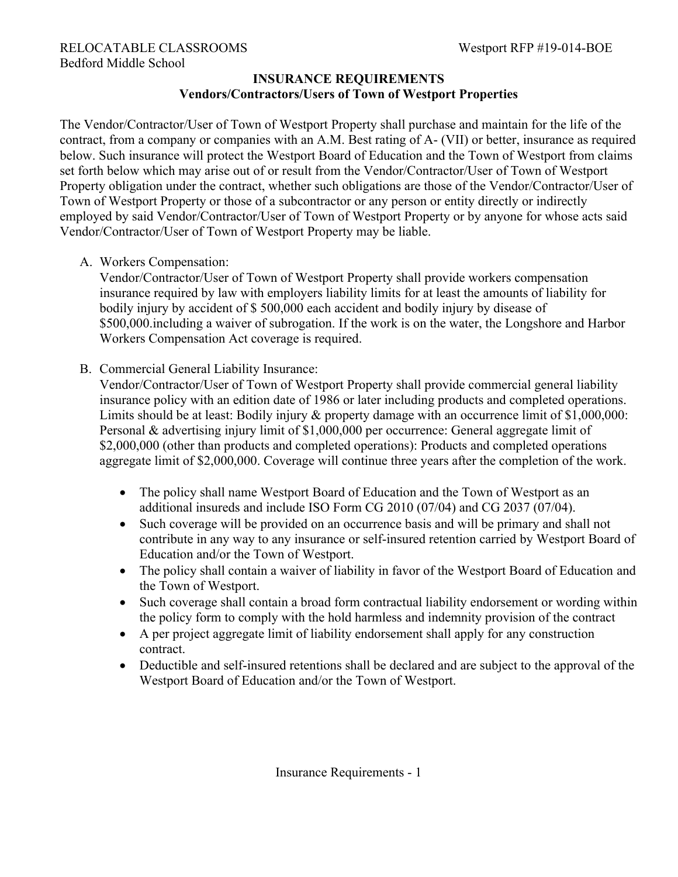## **INSURANCE REQUIREMENTS Vendors/Contractors/Users of Town of Westport Properties**

The Vendor/Contractor/User of Town of Westport Property shall purchase and maintain for the life of the contract, from a company or companies with an A.M. Best rating of A- (VII) or better, insurance as required below. Such insurance will protect the Westport Board of Education and the Town of Westport from claims set forth below which may arise out of or result from the Vendor/Contractor/User of Town of Westport Property obligation under the contract, whether such obligations are those of the Vendor/Contractor/User of Town of Westport Property or those of a subcontractor or any person or entity directly or indirectly employed by said Vendor/Contractor/User of Town of Westport Property or by anyone for whose acts said Vendor/Contractor/User of Town of Westport Property may be liable.

A. Workers Compensation:

Vendor/Contractor/User of Town of Westport Property shall provide workers compensation insurance required by law with employers liability limits for at least the amounts of liability for bodily injury by accident of \$ 500,000 each accident and bodily injury by disease of \$500,000.including a waiver of subrogation. If the work is on the water, the Longshore and Harbor Workers Compensation Act coverage is required.

B. Commercial General Liability Insurance:

Vendor/Contractor/User of Town of Westport Property shall provide commercial general liability insurance policy with an edition date of 1986 or later including products and completed operations. Limits should be at least: Bodily injury & property damage with an occurrence limit of \$1,000,000: Personal & advertising injury limit of \$1,000,000 per occurrence: General aggregate limit of \$2,000,000 (other than products and completed operations): Products and completed operations aggregate limit of \$2,000,000. Coverage will continue three years after the completion of the work.

- The policy shall name Westport Board of Education and the Town of Westport as an additional insureds and include ISO Form CG 2010 (07/04) and CG 2037 (07/04).
- Such coverage will be provided on an occurrence basis and will be primary and shall not contribute in any way to any insurance or self-insured retention carried by Westport Board of Education and/or the Town of Westport.
- The policy shall contain a waiver of liability in favor of the Westport Board of Education and the Town of Westport.
- Such coverage shall contain a broad form contractual liability endorsement or wording within the policy form to comply with the hold harmless and indemnity provision of the contract
- A per project aggregate limit of liability endorsement shall apply for any construction contract.
- Deductible and self-insured retentions shall be declared and are subject to the approval of the Westport Board of Education and/or the Town of Westport.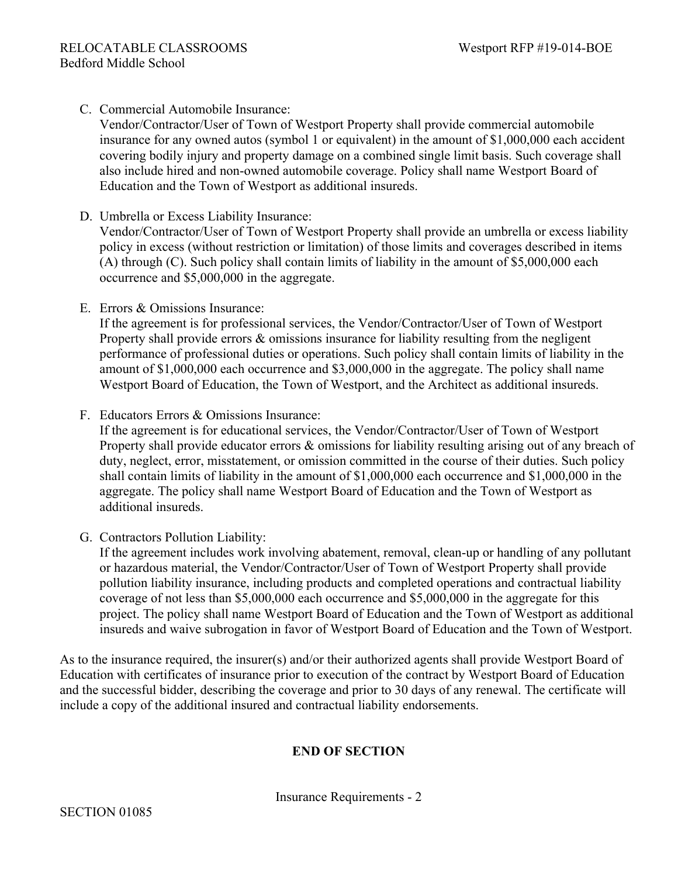## C. Commercial Automobile Insurance:

Vendor/Contractor/User of Town of Westport Property shall provide commercial automobile insurance for any owned autos (symbol 1 or equivalent) in the amount of \$1,000,000 each accident covering bodily injury and property damage on a combined single limit basis. Such coverage shall also include hired and non-owned automobile coverage. Policy shall name Westport Board of Education and the Town of Westport as additional insureds.

D. Umbrella or Excess Liability Insurance:

Vendor/Contractor/User of Town of Westport Property shall provide an umbrella or excess liability policy in excess (without restriction or limitation) of those limits and coverages described in items (A) through (C). Such policy shall contain limits of liability in the amount of \$5,000,000 each occurrence and \$5,000,000 in the aggregate.

E. Errors & Omissions Insurance:

If the agreement is for professional services, the Vendor/Contractor/User of Town of Westport Property shall provide errors & omissions insurance for liability resulting from the negligent performance of professional duties or operations. Such policy shall contain limits of liability in the amount of \$1,000,000 each occurrence and \$3,000,000 in the aggregate. The policy shall name Westport Board of Education, the Town of Westport, and the Architect as additional insureds.

F. Educators Errors & Omissions Insurance:

If the agreement is for educational services, the Vendor/Contractor/User of Town of Westport Property shall provide educator errors & omissions for liability resulting arising out of any breach of duty, neglect, error, misstatement, or omission committed in the course of their duties. Such policy shall contain limits of liability in the amount of \$1,000,000 each occurrence and \$1,000,000 in the aggregate. The policy shall name Westport Board of Education and the Town of Westport as additional insureds.

G. Contractors Pollution Liability:

If the agreement includes work involving abatement, removal, clean-up or handling of any pollutant or hazardous material, the Vendor/Contractor/User of Town of Westport Property shall provide pollution liability insurance, including products and completed operations and contractual liability coverage of not less than \$5,000,000 each occurrence and \$5,000,000 in the aggregate for this project. The policy shall name Westport Board of Education and the Town of Westport as additional insureds and waive subrogation in favor of Westport Board of Education and the Town of Westport.

As to the insurance required, the insurer(s) and/or their authorized agents shall provide Westport Board of Education with certificates of insurance prior to execution of the contract by Westport Board of Education and the successful bidder, describing the coverage and prior to 30 days of any renewal. The certificate will include a copy of the additional insured and contractual liability endorsements.

## **END OF SECTION**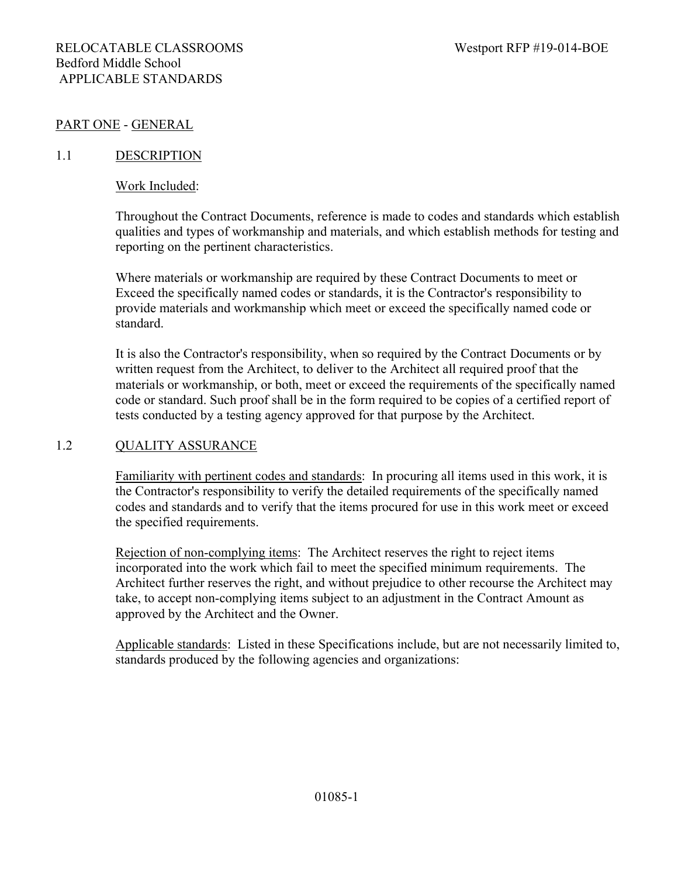#### PART ONE - GENERAL

#### 1.1 DESCRIPTION

#### Work Included:

Throughout the Contract Documents, reference is made to codes and standards which establish qualities and types of workmanship and materials, and which establish methods for testing and reporting on the pertinent characteristics.

Where materials or workmanship are required by these Contract Documents to meet or Exceed the specifically named codes or standards, it is the Contractor's responsibility to provide materials and workmanship which meet or exceed the specifically named code or standard.

It is also the Contractor's responsibility, when so required by the Contract Documents or by written request from the Architect, to deliver to the Architect all required proof that the materials or workmanship, or both, meet or exceed the requirements of the specifically named code or standard. Such proof shall be in the form required to be copies of a certified report of tests conducted by a testing agency approved for that purpose by the Architect.

#### 1.2 QUALITY ASSURANCE

Familiarity with pertinent codes and standards: In procuring all items used in this work, it is the Contractor's responsibility to verify the detailed requirements of the specifically named codes and standards and to verify that the items procured for use in this work meet or exceed the specified requirements.

Rejection of non-complying items: The Architect reserves the right to reject items incorporated into the work which fail to meet the specified minimum requirements. The Architect further reserves the right, and without prejudice to other recourse the Architect may take, to accept non-complying items subject to an adjustment in the Contract Amount as approved by the Architect and the Owner.

Applicable standards: Listed in these Specifications include, but are not necessarily limited to, standards produced by the following agencies and organizations: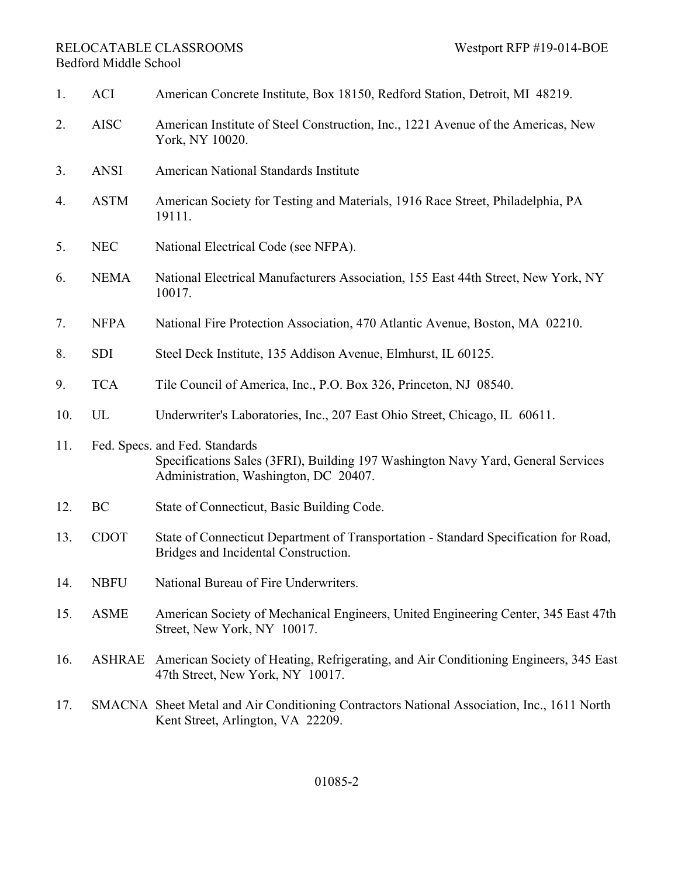1. ACI American Concrete Institute, Box 18150, Redford Station, Detroit, MI 48219. 2. AISC American Institute of Steel Construction, Inc., 1221 Avenue of the Americas, New York, NY 10020. 3. ANSI American National Standards Institute 4. ASTM American Society for Testing and Materials, 1916 Race Street, Philadelphia, PA 19111. 5. NEC National Electrical Code (see NFPA). 6. NEMA National Electrical Manufacturers Association, 155 East 44th Street, New York, NY 10017. 7. NFPA National Fire Protection Association, 470 Atlantic Avenue, Boston, MA 02210. 8. SDI Steel Deck Institute, 135 Addison Avenue, Elmhurst, IL 60125. 9. TCA Tile Council of America, Inc., P.O. Box 326, Princeton, NJ 08540. 10. UL Underwriter's Laboratories, Inc., 207 East Ohio Street, Chicago, IL 60611. 11. Fed. Specs. and Fed. Standards Specifications Sales (3FRI), Building 197 Washington Navy Yard, General Services Administration, Washington, DC 20407. 12. BC State of Connecticut, Basic Building Code. 13. CDOT State of Connecticut Department of Transportation - Standard Specification for Road, Bridges and Incidental Construction. 14. NBFU National Bureau of Fire Underwriters. 15. ASME American Society of Mechanical Engineers, United Engineering Center, 345 East 47th Street, New York, NY 10017. 16. ASHRAE American Society of Heating, Refrigerating, and Air Conditioning Engineers, 345 East 47th Street, New York, NY 10017. 17. SMACNA Sheet Metal and Air Conditioning Contractors National Association, Inc., 1611 North Kent Street, Arlington, VA 22209.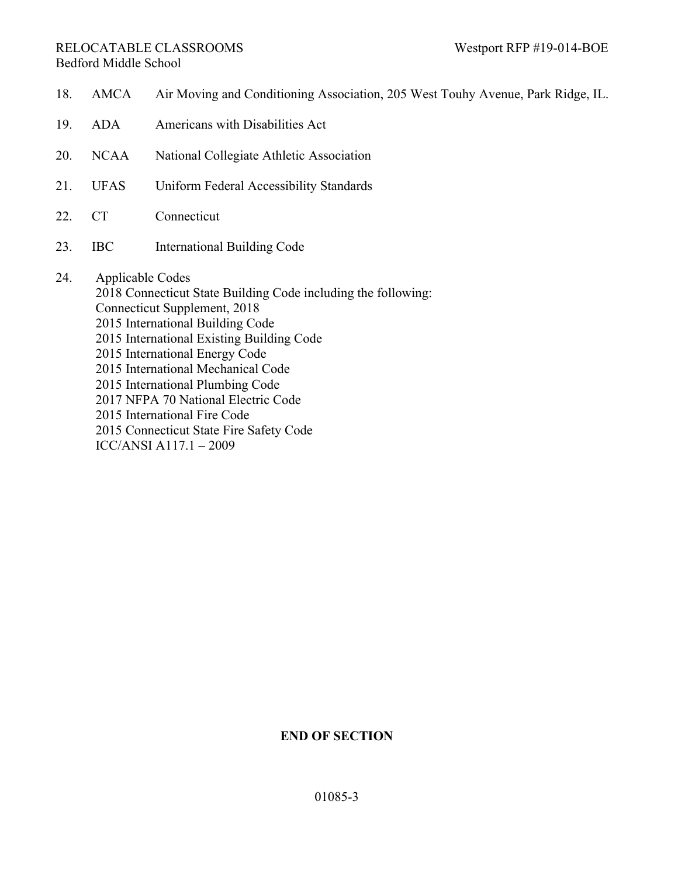#### RELOCATABLE CLASSROOMS Westport RFP #19-014-BOE Bedford Middle School

- 18. AMCA Air Moving and Conditioning Association, 205 West Touhy Avenue, Park Ridge, IL. 19. ADA Americans with Disabilities Act 20. NCAA National Collegiate Athletic Association 21. UFAS Uniform Federal Accessibility Standards 22. CT Connecticut 23. IBC International Building Code 24. Applicable Codes 2018 Connecticut State Building Code including the following: Connecticut Supplement, 2018 2015 International Building Code 2015 International Existing Building Code 2015 International Energy Code 2015 International Mechanical Code 2015 International Plumbing Code
	- 2017 NFPA 70 National Electric Code
	- 2015 International Fire Code
	- 2015 Connecticut State Fire Safety Code
	- ICC/ANSI A117.1 2009

## **END OF SECTION**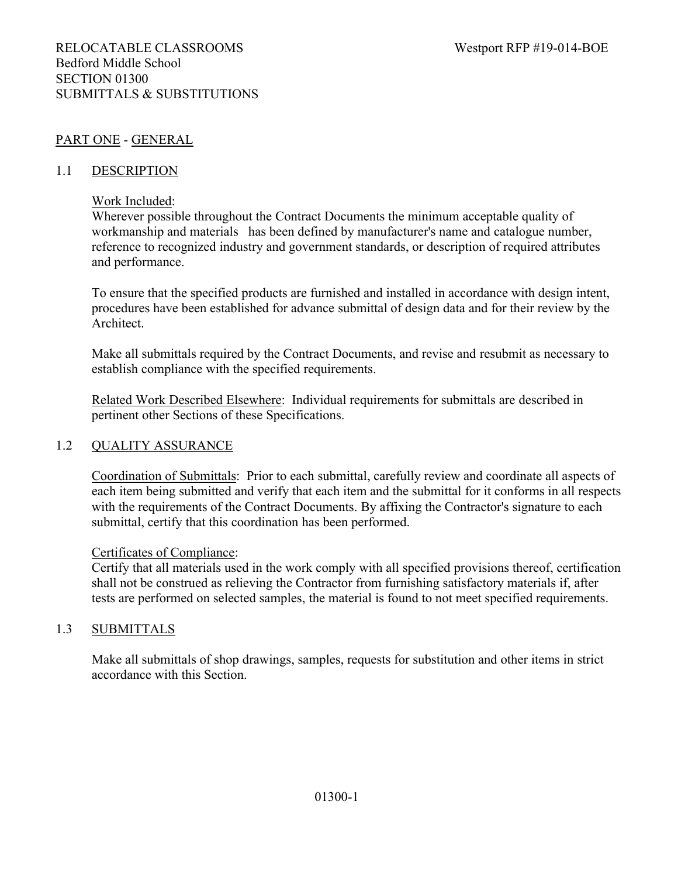## PART ONE - GENERAL

### 1.1 DESCRIPTION

#### Work Included:

Wherever possible throughout the Contract Documents the minimum acceptable quality of workmanship and materials has been defined by manufacturer's name and catalogue number, reference to recognized industry and government standards, or description of required attributes and performance.

To ensure that the specified products are furnished and installed in accordance with design intent, procedures have been established for advance submittal of design data and for their review by the Architect.

Make all submittals required by the Contract Documents, and revise and resubmit as necessary to establish compliance with the specified requirements.

Related Work Described Elsewhere: Individual requirements for submittals are described in pertinent other Sections of these Specifications.

#### 1.2 QUALITY ASSURANCE

Coordination of Submittals: Prior to each submittal, carefully review and coordinate all aspects of each item being submitted and verify that each item and the submittal for it conforms in all respects with the requirements of the Contract Documents. By affixing the Contractor's signature to each submittal, certify that this coordination has been performed.

#### Certificates of Compliance:

Certify that all materials used in the work comply with all specified provisions thereof, certification shall not be construed as relieving the Contractor from furnishing satisfactory materials if, after tests are performed on selected samples, the material is found to not meet specified requirements.

## 1.3 SUBMITTALS

Make all submittals of shop drawings, samples, requests for substitution and other items in strict accordance with this Section.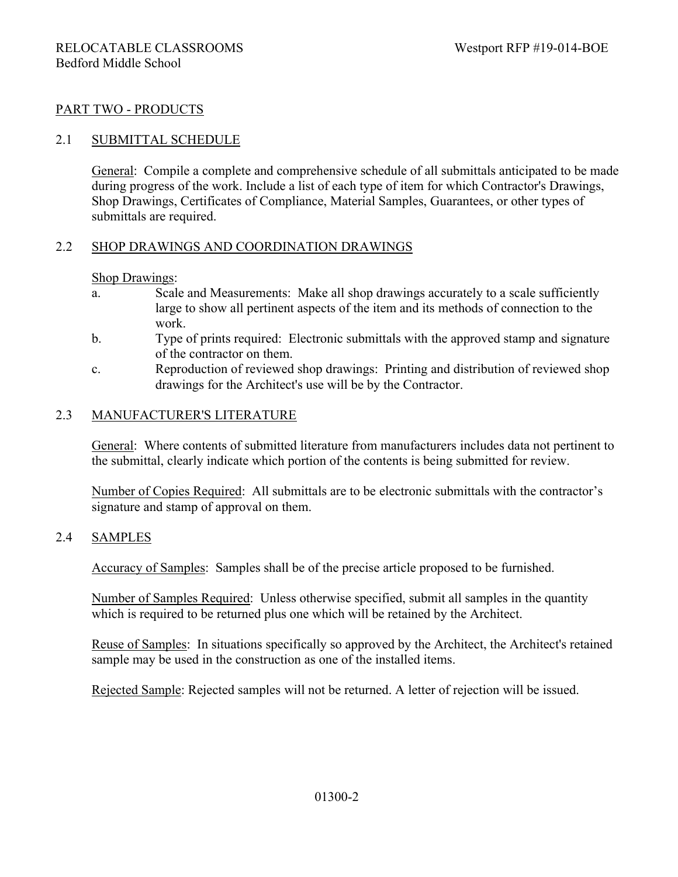## PART TWO - PRODUCTS

## 2.1 SUBMITTAL SCHEDULE

General: Compile a complete and comprehensive schedule of all submittals anticipated to be made during progress of the work. Include a list of each type of item for which Contractor's Drawings, Shop Drawings, Certificates of Compliance, Material Samples, Guarantees, or other types of submittals are required.

## 2.2 SHOP DRAWINGS AND COORDINATION DRAWINGS

#### Shop Drawings:

- a. Scale and Measurements: Make all shop drawings accurately to a scale sufficiently large to show all pertinent aspects of the item and its methods of connection to the work.
- b. Type of prints required: Electronic submittals with the approved stamp and signature of the contractor on them.
- c. Reproduction of reviewed shop drawings: Printing and distribution of reviewed shop drawings for the Architect's use will be by the Contractor.

### 2.3 MANUFACTURER'S LITERATURE

General: Where contents of submitted literature from manufacturers includes data not pertinent to the submittal, clearly indicate which portion of the contents is being submitted for review.

Number of Copies Required: All submittals are to be electronic submittals with the contractor's signature and stamp of approval on them.

#### 2.4 SAMPLES

Accuracy of Samples: Samples shall be of the precise article proposed to be furnished.

Number of Samples Required: Unless otherwise specified, submit all samples in the quantity which is required to be returned plus one which will be retained by the Architect.

Reuse of Samples: In situations specifically so approved by the Architect, the Architect's retained sample may be used in the construction as one of the installed items.

Rejected Sample: Rejected samples will not be returned. A letter of rejection will be issued.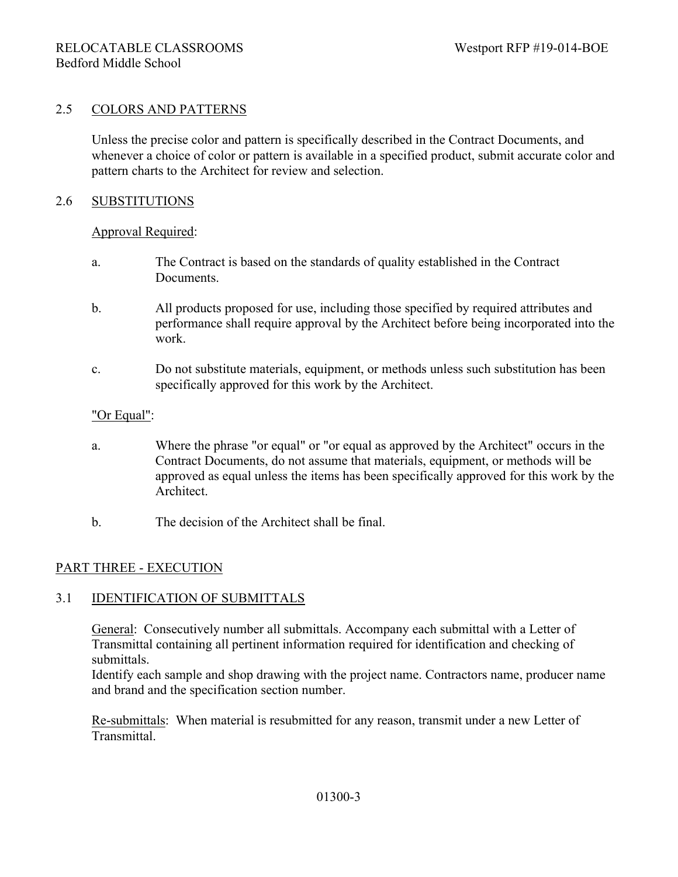#### 2.5 COLORS AND PATTERNS

Unless the precise color and pattern is specifically described in the Contract Documents, and whenever a choice of color or pattern is available in a specified product, submit accurate color and pattern charts to the Architect for review and selection.

#### 2.6 SUBSTITUTIONS

#### Approval Required:

- a. The Contract is based on the standards of quality established in the Contract Documents.
- b. All products proposed for use, including those specified by required attributes and performance shall require approval by the Architect before being incorporated into the work.
- c. Do not substitute materials, equipment, or methods unless such substitution has been specifically approved for this work by the Architect.

#### "Or Equal":

- a. Where the phrase "or equal" or "or equal as approved by the Architect" occurs in the Contract Documents, do not assume that materials, equipment, or methods will be approved as equal unless the items has been specifically approved for this work by the Architect.
- b. The decision of the Architect shall be final.

#### PART THREE - EXECUTION

#### 3.1 IDENTIFICATION OF SUBMITTALS

General: Consecutively number all submittals. Accompany each submittal with a Letter of Transmittal containing all pertinent information required for identification and checking of submittals.

Identify each sample and shop drawing with the project name. Contractors name, producer name and brand and the specification section number.

Re-submittals: When material is resubmitted for any reason, transmit under a new Letter of Transmittal.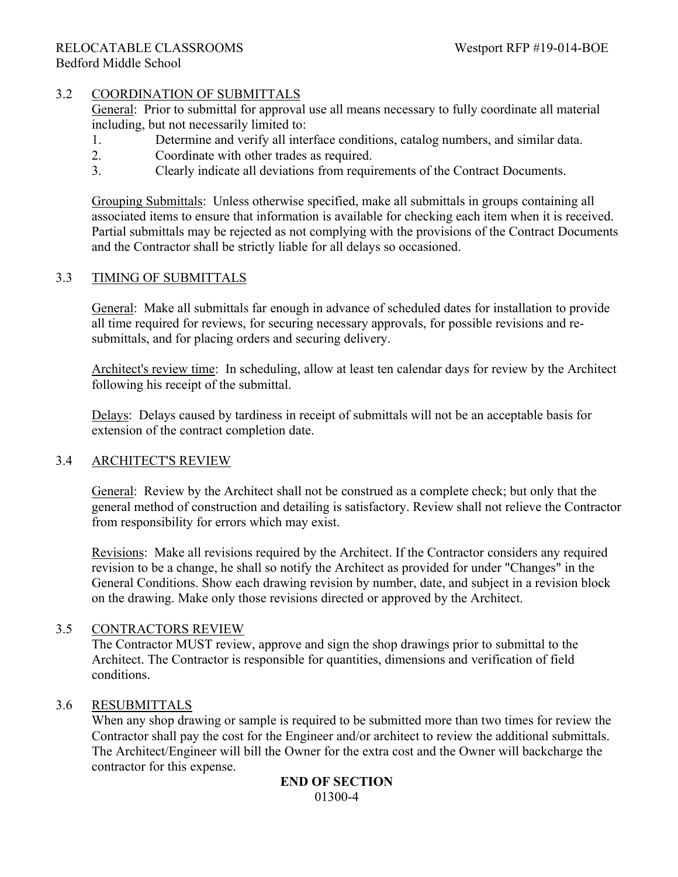## 3.2 COORDINATION OF SUBMITTALS

General: Prior to submittal for approval use all means necessary to fully coordinate all material including, but not necessarily limited to:

- 1. Determine and verify all interface conditions, catalog numbers, and similar data.
- 2. Coordinate with other trades as required.
- 3. Clearly indicate all deviations from requirements of the Contract Documents.

Grouping Submittals: Unless otherwise specified, make all submittals in groups containing all associated items to ensure that information is available for checking each item when it is received. Partial submittals may be rejected as not complying with the provisions of the Contract Documents and the Contractor shall be strictly liable for all delays so occasioned.

## 3.3 TIMING OF SUBMITTALS

General: Make all submittals far enough in advance of scheduled dates for installation to provide all time required for reviews, for securing necessary approvals, for possible revisions and resubmittals, and for placing orders and securing delivery.

Architect's review time: In scheduling, allow at least ten calendar days for review by the Architect following his receipt of the submittal.

Delays: Delays caused by tardiness in receipt of submittals will not be an acceptable basis for extension of the contract completion date.

## 3.4 ARCHITECT'S REVIEW

General: Review by the Architect shall not be construed as a complete check; but only that the general method of construction and detailing is satisfactory. Review shall not relieve the Contractor from responsibility for errors which may exist.

Revisions: Make all revisions required by the Architect. If the Contractor considers any required revision to be a change, he shall so notify the Architect as provided for under "Changes" in the General Conditions. Show each drawing revision by number, date, and subject in a revision block on the drawing. Make only those revisions directed or approved by the Architect.

## 3.5 CONTRACTORS REVIEW

The Contractor MUST review, approve and sign the shop drawings prior to submittal to the Architect. The Contractor is responsible for quantities, dimensions and verification of field conditions.

## 3.6 RESUBMITTALS

When any shop drawing or sample is required to be submitted more than two times for review the Contractor shall pay the cost for the Engineer and/or architect to review the additional submittals. The Architect/Engineer will bill the Owner for the extra cost and the Owner will backcharge the contractor for this expense.

#### **END OF SECTION** 01300-4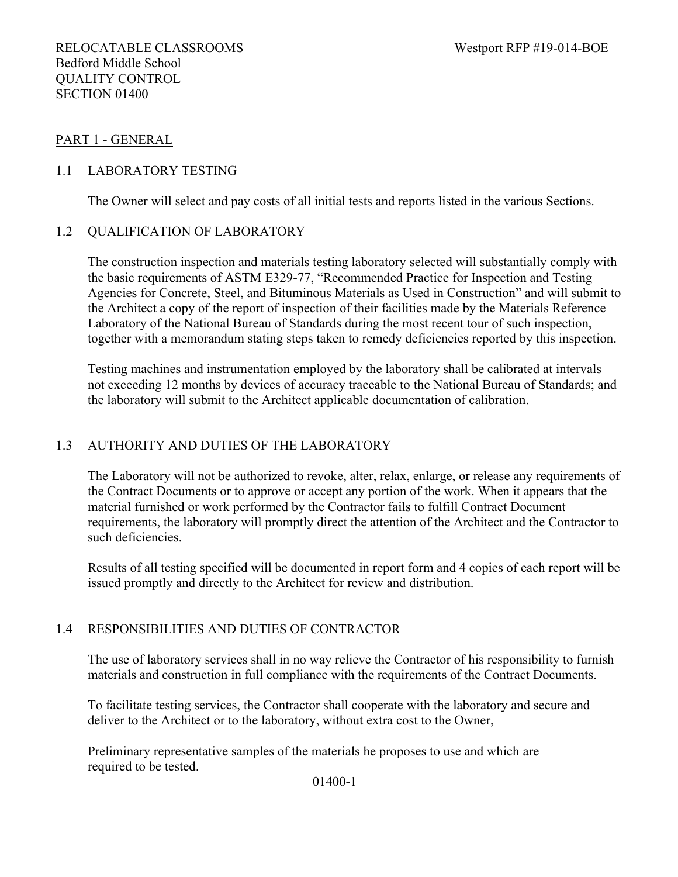## PART 1 - GENERAL

## 1.1 LABORATORY TESTING

The Owner will select and pay costs of all initial tests and reports listed in the various Sections.

## 1.2 QUALIFICATION OF LABORATORY

The construction inspection and materials testing laboratory selected will substantially comply with the basic requirements of ASTM E329-77, "Recommended Practice for Inspection and Testing Agencies for Concrete, Steel, and Bituminous Materials as Used in Construction" and will submit to the Architect a copy of the report of inspection of their facilities made by the Materials Reference Laboratory of the National Bureau of Standards during the most recent tour of such inspection, together with a memorandum stating steps taken to remedy deficiencies reported by this inspection.

Testing machines and instrumentation employed by the laboratory shall be calibrated at intervals not exceeding 12 months by devices of accuracy traceable to the National Bureau of Standards; and the laboratory will submit to the Architect applicable documentation of calibration.

## 1.3 AUTHORITY AND DUTIES OF THE LABORATORY

The Laboratory will not be authorized to revoke, alter, relax, enlarge, or release any requirements of the Contract Documents or to approve or accept any portion of the work. When it appears that the material furnished or work performed by the Contractor fails to fulfill Contract Document requirements, the laboratory will promptly direct the attention of the Architect and the Contractor to such deficiencies.

Results of all testing specified will be documented in report form and 4 copies of each report will be issued promptly and directly to the Architect for review and distribution.

## 1.4 RESPONSIBILITIES AND DUTIES OF CONTRACTOR

The use of laboratory services shall in no way relieve the Contractor of his responsibility to furnish materials and construction in full compliance with the requirements of the Contract Documents.

To facilitate testing services, the Contractor shall cooperate with the laboratory and secure and deliver to the Architect or to the laboratory, without extra cost to the Owner,

Preliminary representative samples of the materials he proposes to use and which are required to be tested.

01400-1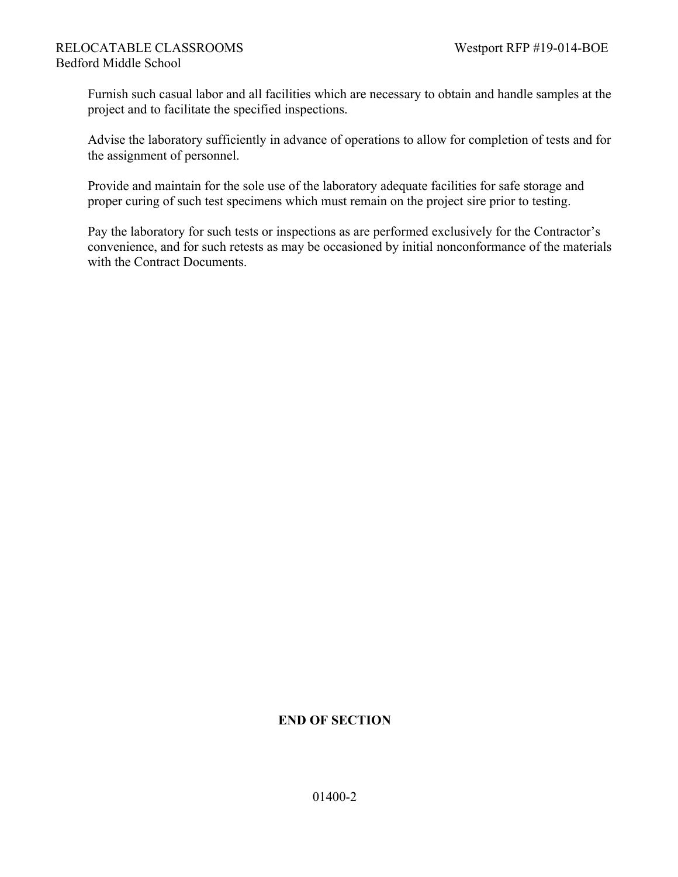Furnish such casual labor and all facilities which are necessary to obtain and handle samples at the project and to facilitate the specified inspections.

Advise the laboratory sufficiently in advance of operations to allow for completion of tests and for the assignment of personnel.

Provide and maintain for the sole use of the laboratory adequate facilities for safe storage and proper curing of such test specimens which must remain on the project sire prior to testing.

Pay the laboratory for such tests or inspections as are performed exclusively for the Contractor's convenience, and for such retests as may be occasioned by initial nonconformance of the materials with the Contract Documents.

## **END OF SECTION**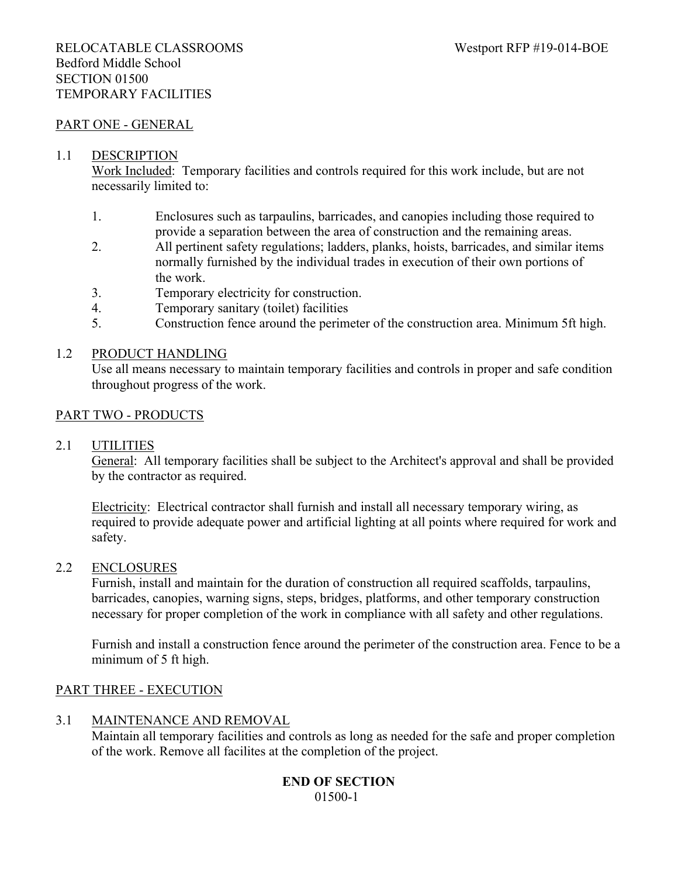#### PART ONE - GENERAL

#### 1.1 DESCRIPTION

Work Included: Temporary facilities and controls required for this work include, but are not necessarily limited to:

- 1. Enclosures such as tarpaulins, barricades, and canopies including those required to provide a separation between the area of construction and the remaining areas.
- 2. All pertinent safety regulations; ladders, planks, hoists, barricades, and similar items normally furnished by the individual trades in execution of their own portions of the work.
- 3. Temporary electricity for construction.
- 4. Temporary sanitary (toilet) facilities
- 5. Construction fence around the perimeter of the construction area. Minimum 5ft high.

#### 1.2 PRODUCT HANDLING

Use all means necessary to maintain temporary facilities and controls in proper and safe condition throughout progress of the work.

#### PART TWO - PRODUCTS

#### 2.1 UTILITIES

General: All temporary facilities shall be subject to the Architect's approval and shall be provided by the contractor as required.

Electricity: Electrical contractor shall furnish and install all necessary temporary wiring, as required to provide adequate power and artificial lighting at all points where required for work and safety.

#### 2.2 ENCLOSURES

Furnish, install and maintain for the duration of construction all required scaffolds, tarpaulins, barricades, canopies, warning signs, steps, bridges, platforms, and other temporary construction necessary for proper completion of the work in compliance with all safety and other regulations.

Furnish and install a construction fence around the perimeter of the construction area. Fence to be a minimum of 5 ft high.

#### PART THREE - EXECUTION

#### 3.1 MAINTENANCE AND REMOVAL

Maintain all temporary facilities and controls as long as needed for the safe and proper completion of the work. Remove all facilites at the completion of the project.

#### **END OF SECTION** 01500-1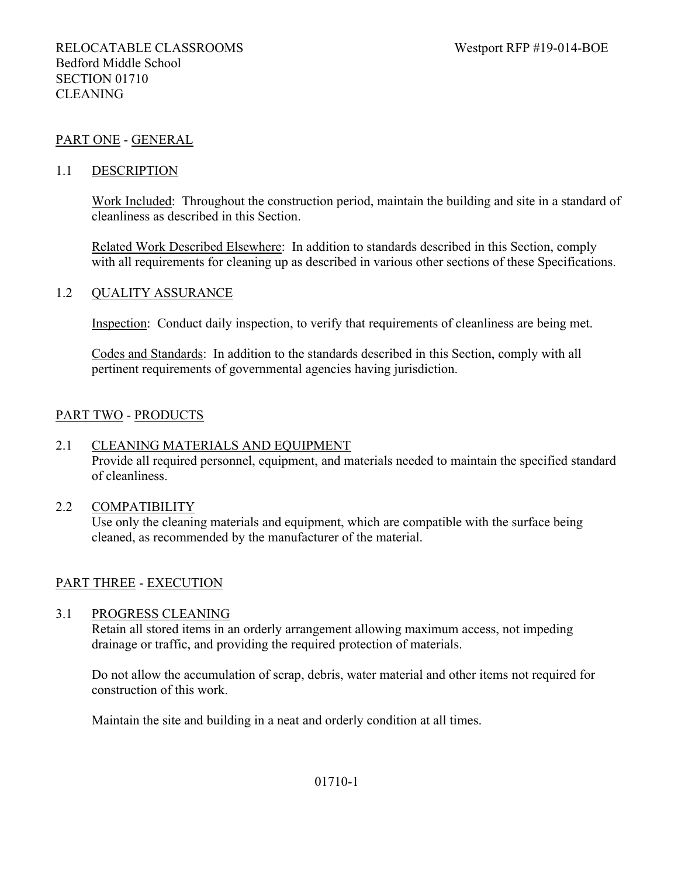### PART ONE - GENERAL

#### 1.1 DESCRIPTION

Work Included: Throughout the construction period, maintain the building and site in a standard of cleanliness as described in this Section.

Related Work Described Elsewhere: In addition to standards described in this Section, comply with all requirements for cleaning up as described in various other sections of these Specifications.

#### 1.2 QUALITY ASSURANCE

Inspection: Conduct daily inspection, to verify that requirements of cleanliness are being met.

Codes and Standards: In addition to the standards described in this Section, comply with all pertinent requirements of governmental agencies having jurisdiction.

#### PART TWO - PRODUCTS

#### 2.1 CLEANING MATERIALS AND EQUIPMENT

Provide all required personnel, equipment, and materials needed to maintain the specified standard of cleanliness.

#### 2.2 COMPATIBILITY

Use only the cleaning materials and equipment, which are compatible with the surface being cleaned, as recommended by the manufacturer of the material.

#### PART THREE - EXECUTION

#### 3.1 PROGRESS CLEANING

Retain all stored items in an orderly arrangement allowing maximum access, not impeding drainage or traffic, and providing the required protection of materials.

Do not allow the accumulation of scrap, debris, water material and other items not required for construction of this work.

Maintain the site and building in a neat and orderly condition at all times.

#### 01710-1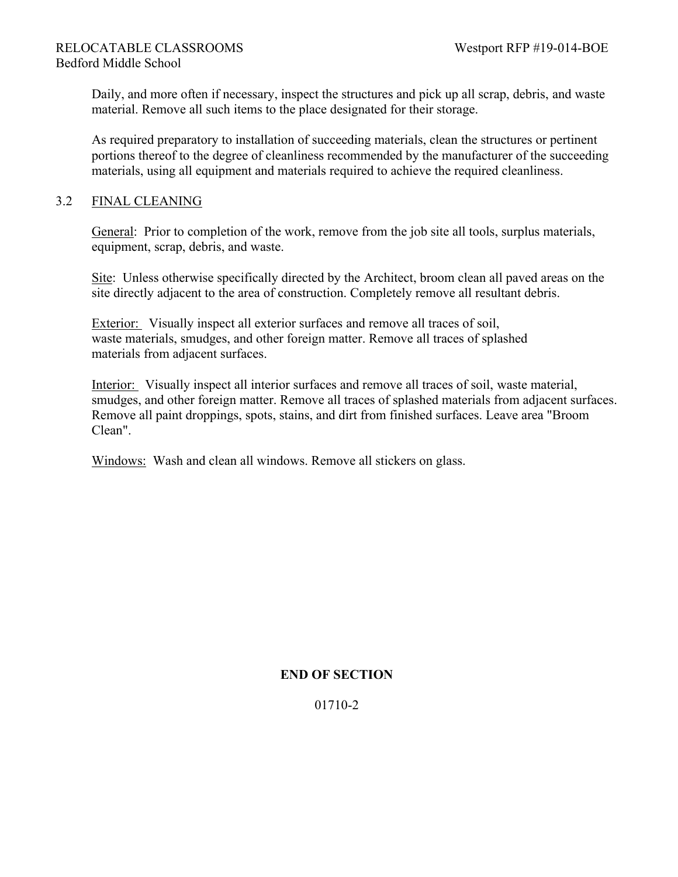Daily, and more often if necessary, inspect the structures and pick up all scrap, debris, and waste material. Remove all such items to the place designated for their storage.

As required preparatory to installation of succeeding materials, clean the structures or pertinent portions thereof to the degree of cleanliness recommended by the manufacturer of the succeeding materials, using all equipment and materials required to achieve the required cleanliness.

## 3.2 FINAL CLEANING

General: Prior to completion of the work, remove from the job site all tools, surplus materials, equipment, scrap, debris, and waste.

Site: Unless otherwise specifically directed by the Architect, broom clean all paved areas on the site directly adjacent to the area of construction. Completely remove all resultant debris.

Exterior: Visually inspect all exterior surfaces and remove all traces of soil, waste materials, smudges, and other foreign matter. Remove all traces of splashed materials from adjacent surfaces.

Interior: Visually inspect all interior surfaces and remove all traces of soil, waste material, smudges, and other foreign matter. Remove all traces of splashed materials from adjacent surfaces. Remove all paint droppings, spots, stains, and dirt from finished surfaces. Leave area "Broom Clean".

Windows: Wash and clean all windows. Remove all stickers on glass.

## **END OF SECTION**

01710-2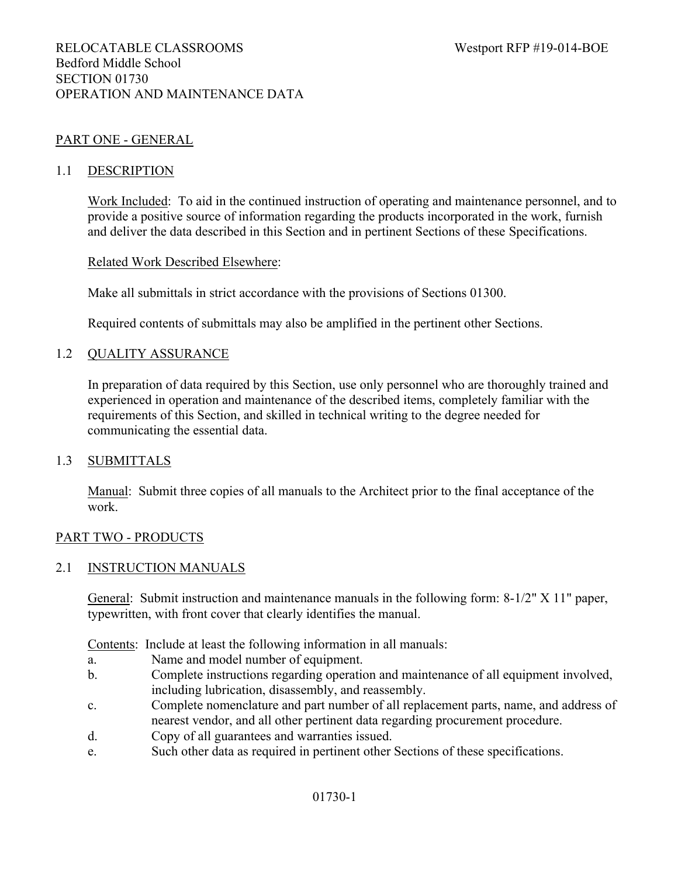## PART ONE - GENERAL

#### 1.1 DESCRIPTION

Work Included: To aid in the continued instruction of operating and maintenance personnel, and to provide a positive source of information regarding the products incorporated in the work, furnish and deliver the data described in this Section and in pertinent Sections of these Specifications.

#### Related Work Described Elsewhere:

Make all submittals in strict accordance with the provisions of Sections 01300.

Required contents of submittals may also be amplified in the pertinent other Sections.

#### 1.2 QUALITY ASSURANCE

In preparation of data required by this Section, use only personnel who are thoroughly trained and experienced in operation and maintenance of the described items, completely familiar with the requirements of this Section, and skilled in technical writing to the degree needed for communicating the essential data.

#### 1.3 SUBMITTALS

Manual: Submit three copies of all manuals to the Architect prior to the final acceptance of the work.

#### PART TWO - PRODUCTS

#### 2.1 INSTRUCTION MANUALS

General: Submit instruction and maintenance manuals in the following form: 8-1/2" X 11" paper, typewritten, with front cover that clearly identifies the manual.

Contents: Include at least the following information in all manuals:

- a. Name and model number of equipment.
- b. Complete instructions regarding operation and maintenance of all equipment involved, including lubrication, disassembly, and reassembly.
- c. Complete nomenclature and part number of all replacement parts, name, and address of nearest vendor, and all other pertinent data regarding procurement procedure.
- d. Copy of all guarantees and warranties issued.
- e. Such other data as required in pertinent other Sections of these specifications.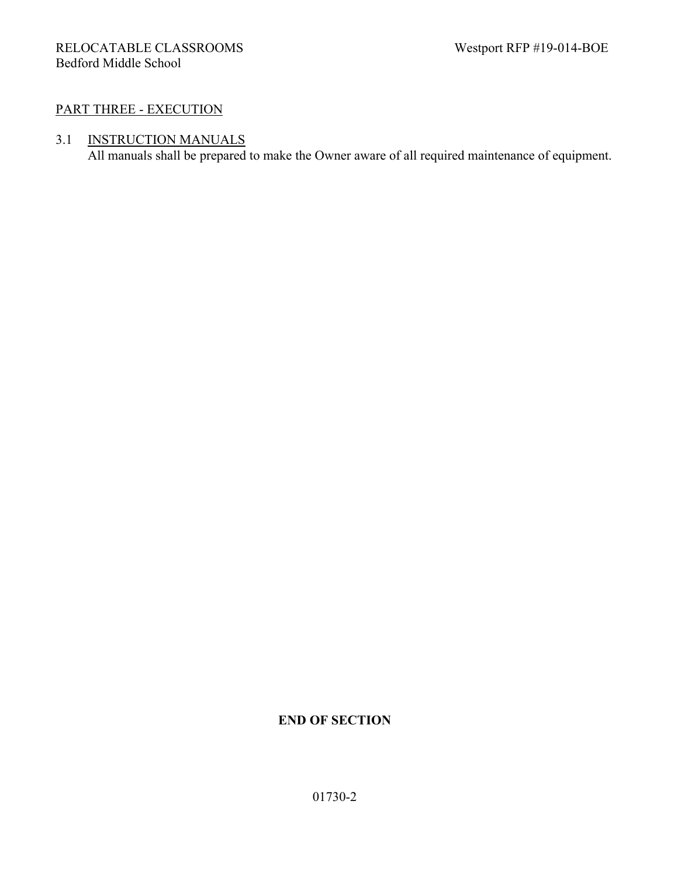## PART THREE - EXECUTION

## 3.1 INSTRUCTION MANUALS

All manuals shall be prepared to make the Owner aware of all required maintenance of equipment.

## **END OF SECTION**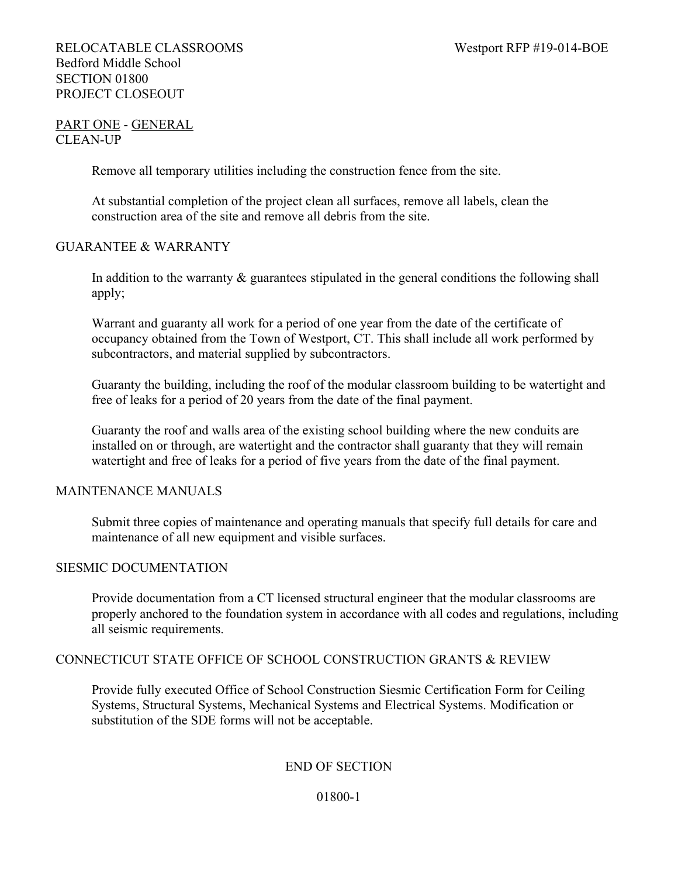## RELOCATABLE CLASSROOMS Westport RFP #19-014-BOE Bedford Middle School SECTION 01800 PROJECT CLOSEOUT

## PART ONE - GENERAL CLEAN-UP

Remove all temporary utilities including the construction fence from the site.

At substantial completion of the project clean all surfaces, remove all labels, clean the construction area of the site and remove all debris from the site.

### GUARANTEE & WARRANTY

In addition to the warranty  $\&$  guarantees stipulated in the general conditions the following shall apply;

Warrant and guaranty all work for a period of one year from the date of the certificate of occupancy obtained from the Town of Westport, CT. This shall include all work performed by subcontractors, and material supplied by subcontractors.

Guaranty the building, including the roof of the modular classroom building to be watertight and free of leaks for a period of 20 years from the date of the final payment.

Guaranty the roof and walls area of the existing school building where the new conduits are installed on or through, are watertight and the contractor shall guaranty that they will remain watertight and free of leaks for a period of five years from the date of the final payment.

## MAINTENANCE MANUALS

Submit three copies of maintenance and operating manuals that specify full details for care and maintenance of all new equipment and visible surfaces.

## SIESMIC DOCUMENTATION

Provide documentation from a CT licensed structural engineer that the modular classrooms are properly anchored to the foundation system in accordance with all codes and regulations, including all seismic requirements.

## CONNECTICUT STATE OFFICE OF SCHOOL CONSTRUCTION GRANTS & REVIEW

Provide fully executed Office of School Construction Siesmic Certification Form for Ceiling Systems, Structural Systems, Mechanical Systems and Electrical Systems. Modification or substitution of the SDE forms will not be acceptable.

## END OF SECTION

#### 01800-1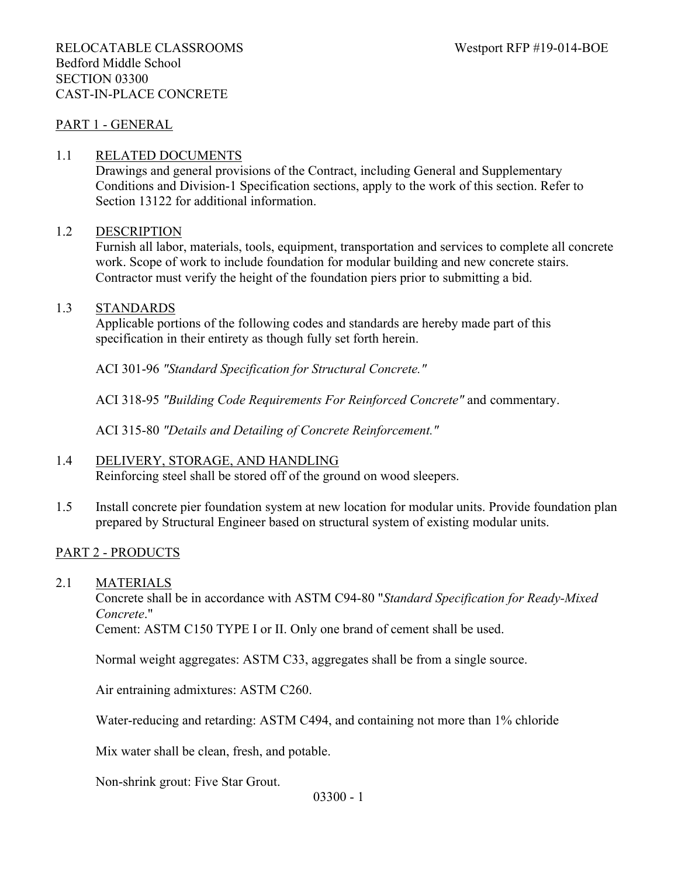#### PART 1 - GENERAL

#### 1.1 RELATED DOCUMENTS

Drawings and general provisions of the Contract, including General and Supplementary Conditions and Division-1 Specification sections, apply to the work of this section. Refer to Section 13122 for additional information.

#### 1.2 DESCRIPTION

Furnish all labor, materials, tools, equipment, transportation and services to complete all concrete work. Scope of work to include foundation for modular building and new concrete stairs. Contractor must verify the height of the foundation piers prior to submitting a bid.

### 1.3 STANDARDS

Applicable portions of the following codes and standards are hereby made part of this specification in their entirety as though fully set forth herein.

ACI 301-96 *"Standard Specification for Structural Concrete."*

ACI 318-95 *"Building Code Requirements For Reinforced Concrete"* and commentary.

ACI 315-80 *"Details and Detailing of Concrete Reinforcement."*

## 1.4 DELIVERY, STORAGE, AND HANDLING

Reinforcing steel shall be stored off of the ground on wood sleepers.

1.5 Install concrete pier foundation system at new location for modular units. Provide foundation plan prepared by Structural Engineer based on structural system of existing modular units.

## PART 2 - PRODUCTS

2.1 MATERIALS

Concrete shall be in accordance with ASTM C94-80 "*Standard Specification for Ready-Mixed Concrete*."

Cement: ASTM C150 TYPE I or II. Only one brand of cement shall be used.

Normal weight aggregates: ASTM C33, aggregates shall be from a single source.

Air entraining admixtures: ASTM C260.

Water-reducing and retarding: ASTM C494, and containing not more than 1% chloride

Mix water shall be clean, fresh, and potable.

Non-shrink grout: Five Star Grout.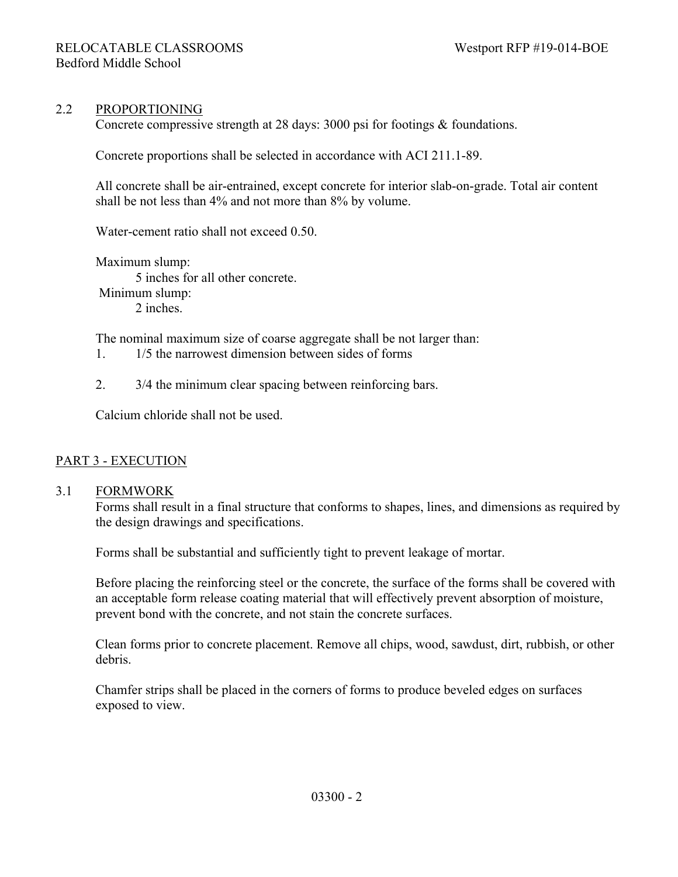#### 2.2 PROPORTIONING

Concrete compressive strength at 28 days: 3000 psi for footings & foundations.

Concrete proportions shall be selected in accordance with ACI 211.1-89.

All concrete shall be air-entrained, except concrete for interior slab-on-grade. Total air content shall be not less than 4% and not more than 8% by volume.

Water-cement ratio shall not exceed 0.50.

Maximum slump: 5 inches for all other concrete. Minimum slump: 2 inches.

The nominal maximum size of coarse aggregate shall be not larger than:

- 1. 1/5 the narrowest dimension between sides of forms
- 2. 3/4 the minimum clear spacing between reinforcing bars.

Calcium chloride shall not be used.

#### PART 3 - EXECUTION

#### 3.1 FORMWORK

Forms shall result in a final structure that conforms to shapes, lines, and dimensions as required by the design drawings and specifications.

Forms shall be substantial and sufficiently tight to prevent leakage of mortar.

Before placing the reinforcing steel or the concrete, the surface of the forms shall be covered with an acceptable form release coating material that will effectively prevent absorption of moisture, prevent bond with the concrete, and not stain the concrete surfaces.

Clean forms prior to concrete placement. Remove all chips, wood, sawdust, dirt, rubbish, or other debris.

Chamfer strips shall be placed in the corners of forms to produce beveled edges on surfaces exposed to view.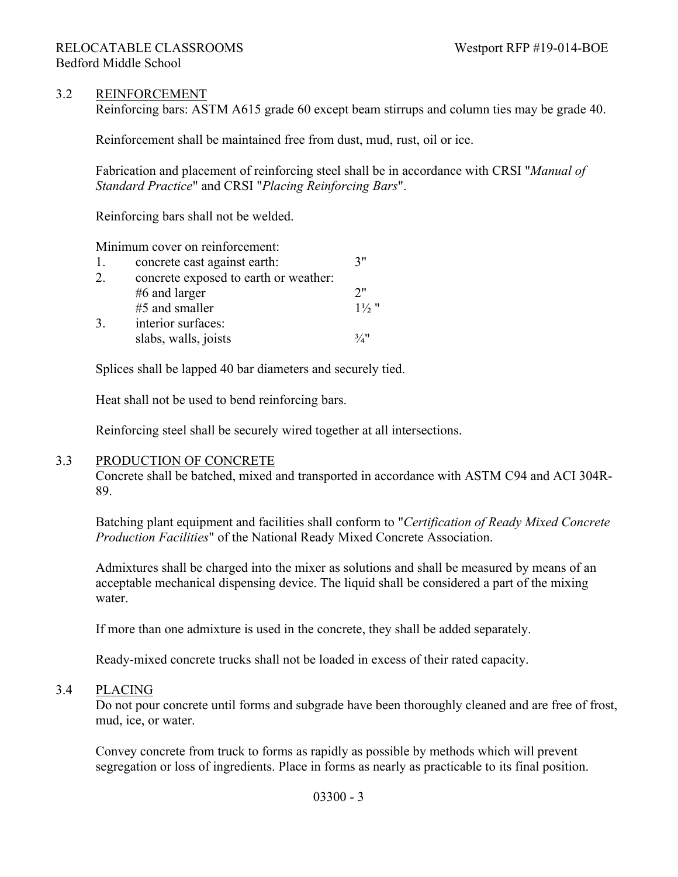## 3.2 REINFORCEMENT

Reinforcing bars: ASTM A615 grade 60 except beam stirrups and column ties may be grade 40.

Reinforcement shall be maintained free from dust, mud, rust, oil or ice.

Fabrication and placement of reinforcing steel shall be in accordance with CRSI "*Manual of Standard Practice*" and CRSI "*Placing Reinforcing Bars*".

Reinforcing bars shall not be welded.

Minimum cover on reinforcement:

| 1. | concrete cast against earth:          | 7"               |
|----|---------------------------------------|------------------|
| 2. | concrete exposed to earth or weather: |                  |
|    | $#6$ and larger                       | 2"               |
|    | #5 and smaller                        | $1\frac{1}{2}$ " |
| 3. | interior surfaces:                    |                  |
|    | slabs, walls, joists                  | $\frac{3}{4}$ !  |

Splices shall be lapped 40 bar diameters and securely tied.

Heat shall not be used to bend reinforcing bars.

Reinforcing steel shall be securely wired together at all intersections.

#### 3.3 PRODUCTION OF CONCRETE

Concrete shall be batched, mixed and transported in accordance with ASTM C94 and ACI 304R-89.

Batching plant equipment and facilities shall conform to "*Certification of Ready Mixed Concrete Production Facilities*" of the National Ready Mixed Concrete Association.

Admixtures shall be charged into the mixer as solutions and shall be measured by means of an acceptable mechanical dispensing device. The liquid shall be considered a part of the mixing water.

If more than one admixture is used in the concrete, they shall be added separately.

Ready-mixed concrete trucks shall not be loaded in excess of their rated capacity.

#### 3.4 PLACING

Do not pour concrete until forms and subgrade have been thoroughly cleaned and are free of frost, mud, ice, or water.

Convey concrete from truck to forms as rapidly as possible by methods which will prevent segregation or loss of ingredients. Place in forms as nearly as practicable to its final position.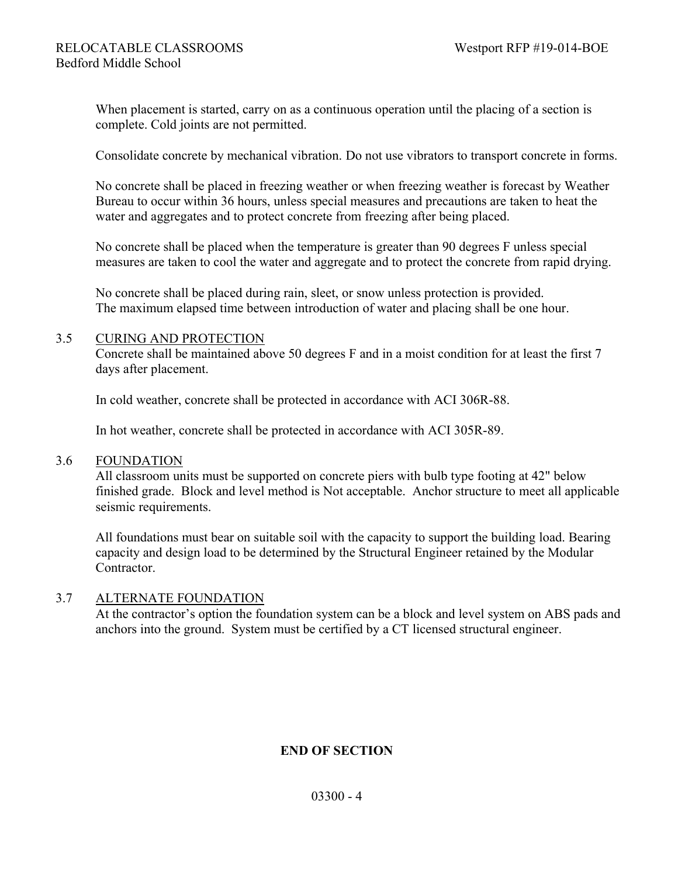When placement is started, carry on as a continuous operation until the placing of a section is complete. Cold joints are not permitted.

Consolidate concrete by mechanical vibration. Do not use vibrators to transport concrete in forms.

No concrete shall be placed in freezing weather or when freezing weather is forecast by Weather Bureau to occur within 36 hours, unless special measures and precautions are taken to heat the water and aggregates and to protect concrete from freezing after being placed.

No concrete shall be placed when the temperature is greater than 90 degrees F unless special measures are taken to cool the water and aggregate and to protect the concrete from rapid drying.

No concrete shall be placed during rain, sleet, or snow unless protection is provided. The maximum elapsed time between introduction of water and placing shall be one hour.

#### 3.5 CURING AND PROTECTION

Concrete shall be maintained above 50 degrees F and in a moist condition for at least the first 7 days after placement.

In cold weather, concrete shall be protected in accordance with ACI 306R-88.

In hot weather, concrete shall be protected in accordance with ACI 305R-89.

#### 3.6 FOUNDATION

All classroom units must be supported on concrete piers with bulb type footing at 42" below finished grade. Block and level method is Not acceptable. Anchor structure to meet all applicable seismic requirements.

All foundations must bear on suitable soil with the capacity to support the building load. Bearing capacity and design load to be determined by the Structural Engineer retained by the Modular Contractor.

#### 3.7 ALTERNATE FOUNDATION

At the contractor's option the foundation system can be a block and level system on ABS pads and anchors into the ground. System must be certified by a CT licensed structural engineer.

## **END OF SECTION**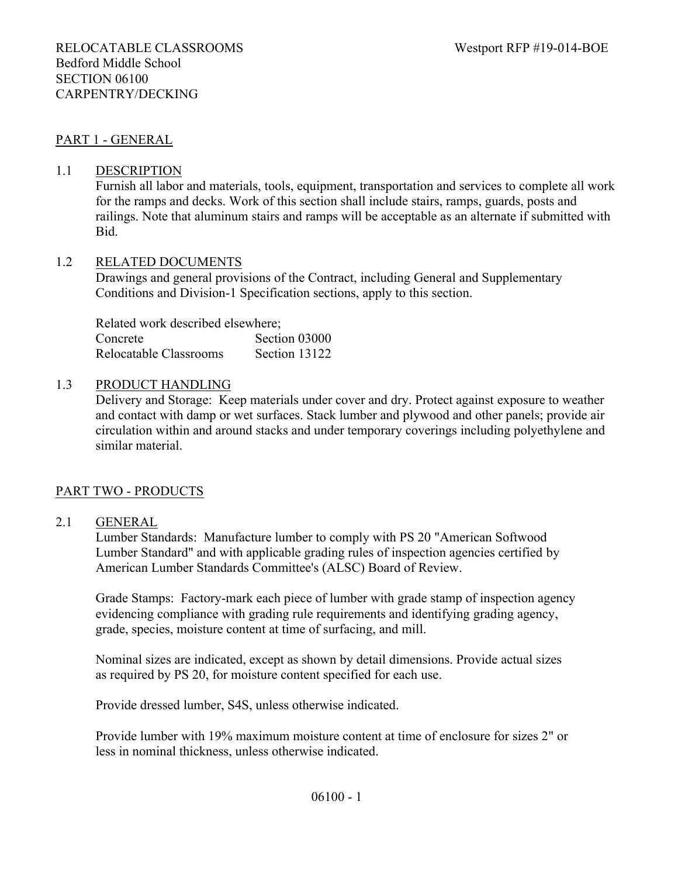## PART 1 - GENERAL

#### 1.1 DESCRIPTION

Furnish all labor and materials, tools, equipment, transportation and services to complete all work for the ramps and decks. Work of this section shall include stairs, ramps, guards, posts and railings. Note that aluminum stairs and ramps will be acceptable as an alternate if submitted with Bid.

#### 1.2 RELATED DOCUMENTS

Drawings and general provisions of the Contract, including General and Supplementary Conditions and Division-1 Specification sections, apply to this section.

Related work described elsewhere; Concrete Section 03000 Relocatable Classrooms Section 13122

#### 1.3 PRODUCT HANDLING

Delivery and Storage: Keep materials under cover and dry. Protect against exposure to weather and contact with damp or wet surfaces. Stack lumber and plywood and other panels; provide air circulation within and around stacks and under temporary coverings including polyethylene and similar material.

#### PART TWO - PRODUCTS

#### 2.1 GENERAL

Lumber Standards: Manufacture lumber to comply with PS 20 "American Softwood Lumber Standard" and with applicable grading rules of inspection agencies certified by American Lumber Standards Committee's (ALSC) Board of Review.

Grade Stamps: Factory-mark each piece of lumber with grade stamp of inspection agency evidencing compliance with grading rule requirements and identifying grading agency, grade, species, moisture content at time of surfacing, and mill.

Nominal sizes are indicated, except as shown by detail dimensions. Provide actual sizes as required by PS 20, for moisture content specified for each use.

Provide dressed lumber, S4S, unless otherwise indicated.

Provide lumber with 19% maximum moisture content at time of enclosure for sizes 2" or less in nominal thickness, unless otherwise indicated.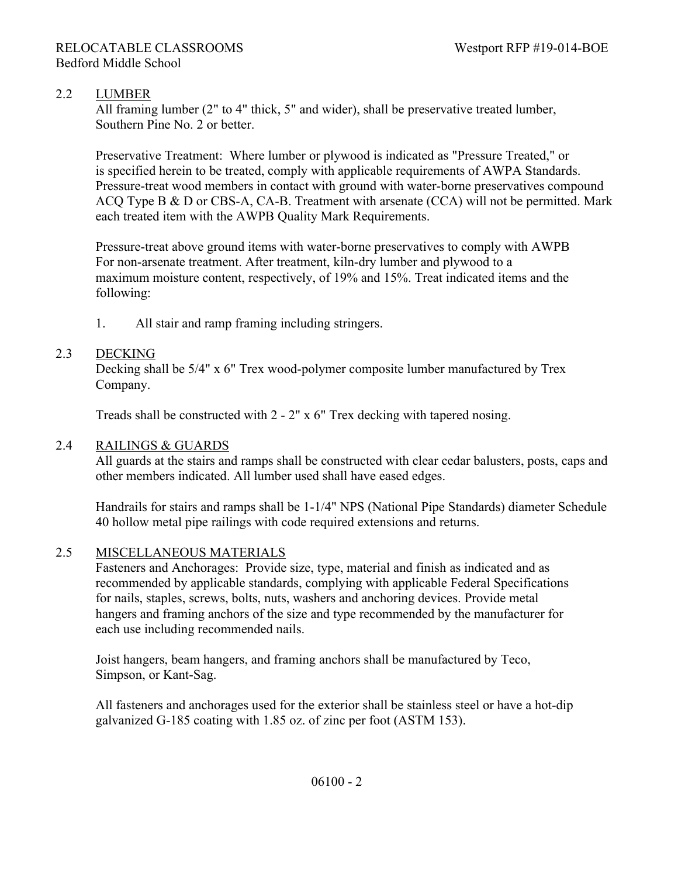## 2.2 LUMBER

All framing lumber (2" to 4" thick, 5" and wider), shall be preservative treated lumber, Southern Pine No. 2 or better.

Preservative Treatment: Where lumber or plywood is indicated as "Pressure Treated," or is specified herein to be treated, comply with applicable requirements of AWPA Standards. Pressure-treat wood members in contact with ground with water-borne preservatives compound ACQ Type B & D or CBS-A, CA-B. Treatment with arsenate (CCA) will not be permitted. Mark each treated item with the AWPB Quality Mark Requirements.

Pressure-treat above ground items with water-borne preservatives to comply with AWPB For non-arsenate treatment. After treatment, kiln-dry lumber and plywood to a maximum moisture content, respectively, of 19% and 15%. Treat indicated items and the following:

1. All stair and ramp framing including stringers.

### 2.3 DECKING

Decking shall be 5/4" x 6" Trex wood-polymer composite lumber manufactured by Trex Company.

Treads shall be constructed with 2 - 2" x 6" Trex decking with tapered nosing.

## 2.4 RAILINGS & GUARDS

All guards at the stairs and ramps shall be constructed with clear cedar balusters, posts, caps and other members indicated. All lumber used shall have eased edges.

Handrails for stairs and ramps shall be 1-1/4" NPS (National Pipe Standards) diameter Schedule 40 hollow metal pipe railings with code required extensions and returns.

## 2.5 MISCELLANEOUS MATERIALS

Fasteners and Anchorages: Provide size, type, material and finish as indicated and as recommended by applicable standards, complying with applicable Federal Specifications for nails, staples, screws, bolts, nuts, washers and anchoring devices. Provide metal hangers and framing anchors of the size and type recommended by the manufacturer for each use including recommended nails.

Joist hangers, beam hangers, and framing anchors shall be manufactured by Teco, Simpson, or Kant-Sag.

All fasteners and anchorages used for the exterior shall be stainless steel or have a hot-dip galvanized G-185 coating with 1.85 oz. of zinc per foot (ASTM 153).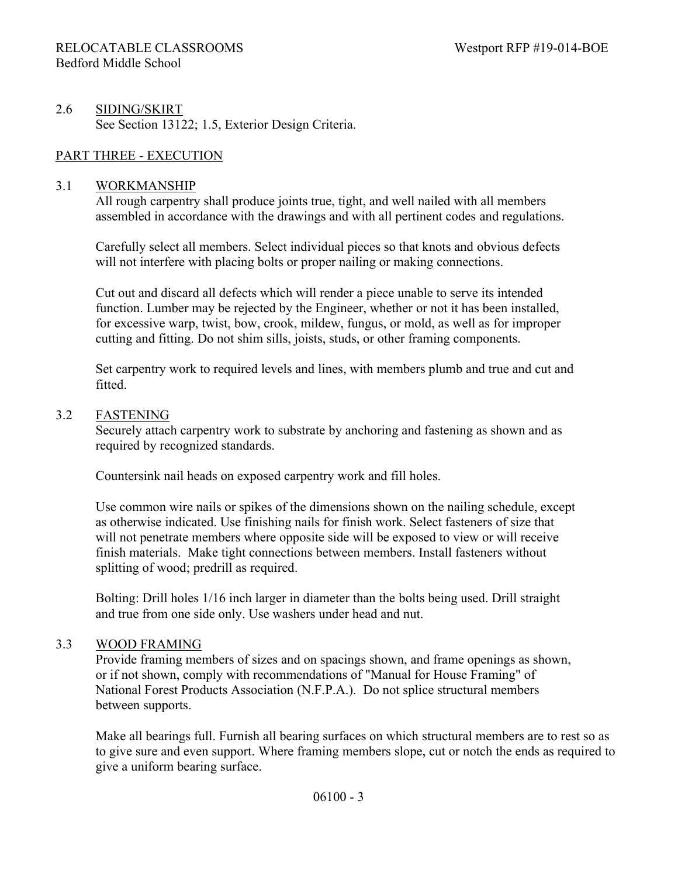## 2.6 SIDING/SKIRT See Section 13122; 1.5, Exterior Design Criteria.

## PART THREE - EXECUTION

### 3.1 WORKMANSHIP

All rough carpentry shall produce joints true, tight, and well nailed with all members assembled in accordance with the drawings and with all pertinent codes and regulations.

Carefully select all members. Select individual pieces so that knots and obvious defects will not interfere with placing bolts or proper nailing or making connections.

Cut out and discard all defects which will render a piece unable to serve its intended function. Lumber may be rejected by the Engineer, whether or not it has been installed, for excessive warp, twist, bow, crook, mildew, fungus, or mold, as well as for improper cutting and fitting. Do not shim sills, joists, studs, or other framing components.

Set carpentry work to required levels and lines, with members plumb and true and cut and fitted.

#### 3.2 FASTENING

Securely attach carpentry work to substrate by anchoring and fastening as shown and as required by recognized standards.

Countersink nail heads on exposed carpentry work and fill holes.

Use common wire nails or spikes of the dimensions shown on the nailing schedule, except as otherwise indicated. Use finishing nails for finish work. Select fasteners of size that will not penetrate members where opposite side will be exposed to view or will receive finish materials. Make tight connections between members. Install fasteners without splitting of wood; predrill as required.

Bolting: Drill holes 1/16 inch larger in diameter than the bolts being used. Drill straight and true from one side only. Use washers under head and nut.

## 3.3 WOOD FRAMING

Provide framing members of sizes and on spacings shown, and frame openings as shown, or if not shown, comply with recommendations of "Manual for House Framing" of National Forest Products Association (N.F.P.A.). Do not splice structural members between supports.

Make all bearings full. Furnish all bearing surfaces on which structural members are to rest so as to give sure and even support. Where framing members slope, cut or notch the ends as required to give a uniform bearing surface.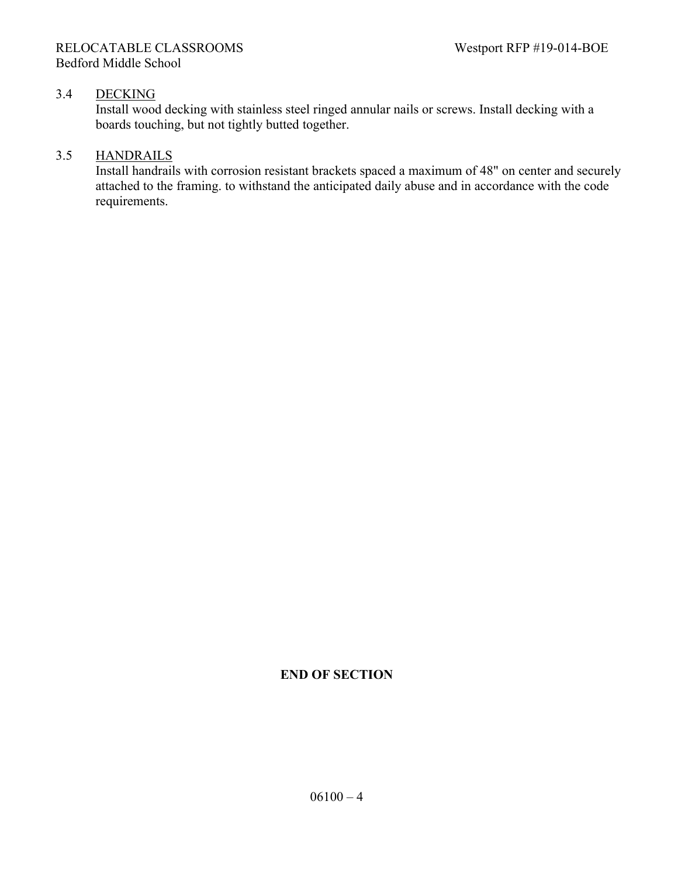## 3.4 DECKING

Install wood decking with stainless steel ringed annular nails or screws. Install decking with a boards touching, but not tightly butted together.

## 3.5 HANDRAILS

Install handrails with corrosion resistant brackets spaced a maximum of 48" on center and securely attached to the framing. to withstand the anticipated daily abuse and in accordance with the code requirements.

## **END OF SECTION**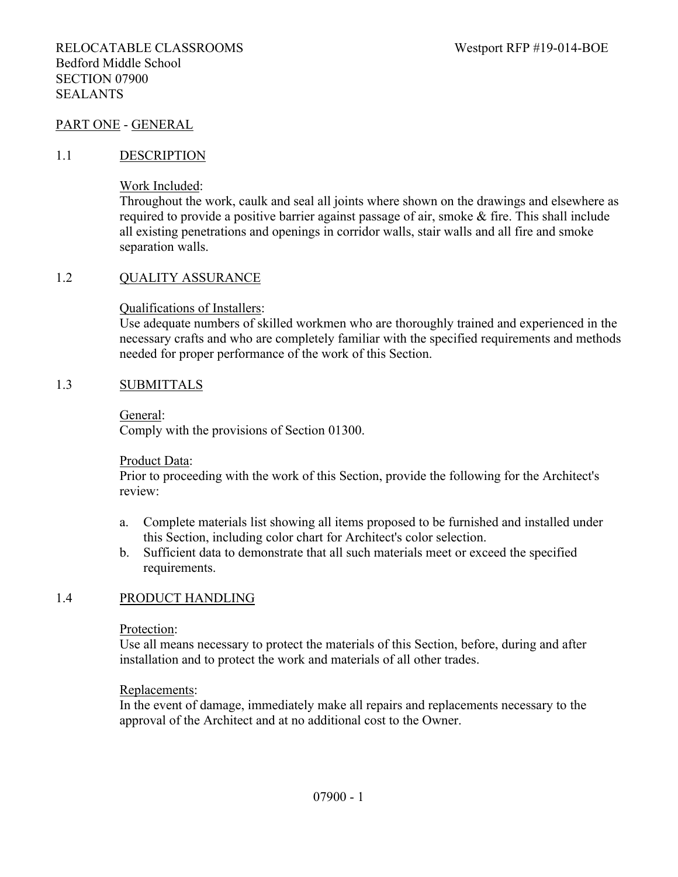#### PART ONE - GENERAL

#### 1.1 DESCRIPTION

Work Included:

Throughout the work, caulk and seal all joints where shown on the drawings and elsewhere as required to provide a positive barrier against passage of air, smoke  $\&$  fire. This shall include all existing penetrations and openings in corridor walls, stair walls and all fire and smoke separation walls.

#### 1.2 QUALITY ASSURANCE

Qualifications of Installers:

Use adequate numbers of skilled workmen who are thoroughly trained and experienced in the necessary crafts and who are completely familiar with the specified requirements and methods needed for proper performance of the work of this Section.

#### 1.3 SUBMITTALS

General:

Comply with the provisions of Section 01300.

Product Data:

Prior to proceeding with the work of this Section, provide the following for the Architect's review:

- a. Complete materials list showing all items proposed to be furnished and installed under this Section, including color chart for Architect's color selection.
- b. Sufficient data to demonstrate that all such materials meet or exceed the specified requirements.

#### 1.4 PRODUCT HANDLING

Protection:

Use all means necessary to protect the materials of this Section, before, during and after installation and to protect the work and materials of all other trades.

#### Replacements:

In the event of damage, immediately make all repairs and replacements necessary to the approval of the Architect and at no additional cost to the Owner.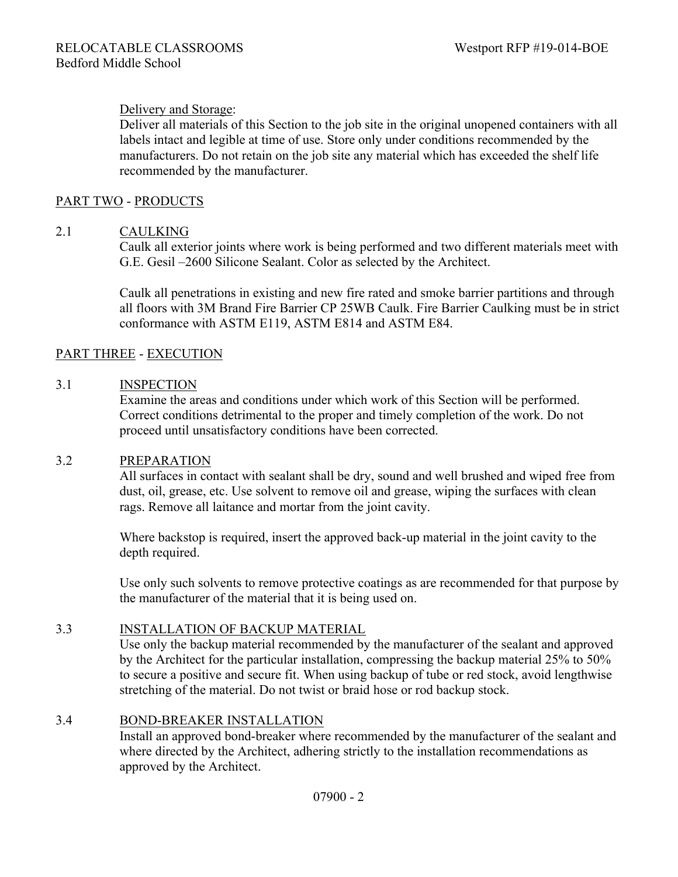## Delivery and Storage:

Deliver all materials of this Section to the job site in the original unopened containers with all labels intact and legible at time of use. Store only under conditions recommended by the manufacturers. Do not retain on the job site any material which has exceeded the shelf life recommended by the manufacturer.

#### PART TWO - PRODUCTS

#### 2.1 CAULKING

Caulk all exterior joints where work is being performed and two different materials meet with G.E. Gesil –2600 Silicone Sealant. Color as selected by the Architect.

Caulk all penetrations in existing and new fire rated and smoke barrier partitions and through all floors with 3M Brand Fire Barrier CP 25WB Caulk. Fire Barrier Caulking must be in strict conformance with ASTM E119, ASTM E814 and ASTM E84.

## PART THREE - EXECUTION

#### 3.1 INSPECTION

Examine the areas and conditions under which work of this Section will be performed. Correct conditions detrimental to the proper and timely completion of the work. Do not proceed until unsatisfactory conditions have been corrected.

#### 3.2 PREPARATION

All surfaces in contact with sealant shall be dry, sound and well brushed and wiped free from dust, oil, grease, etc. Use solvent to remove oil and grease, wiping the surfaces with clean rags. Remove all laitance and mortar from the joint cavity.

Where backstop is required, insert the approved back-up material in the joint cavity to the depth required.

Use only such solvents to remove protective coatings as are recommended for that purpose by the manufacturer of the material that it is being used on.

#### 3.3 INSTALLATION OF BACKUP MATERIAL

Use only the backup material recommended by the manufacturer of the sealant and approved by the Architect for the particular installation, compressing the backup material 25% to 50% to secure a positive and secure fit. When using backup of tube or red stock, avoid lengthwise stretching of the material. Do not twist or braid hose or rod backup stock.

#### 3.4 BOND-BREAKER INSTALLATION

Install an approved bond-breaker where recommended by the manufacturer of the sealant and where directed by the Architect, adhering strictly to the installation recommendations as approved by the Architect.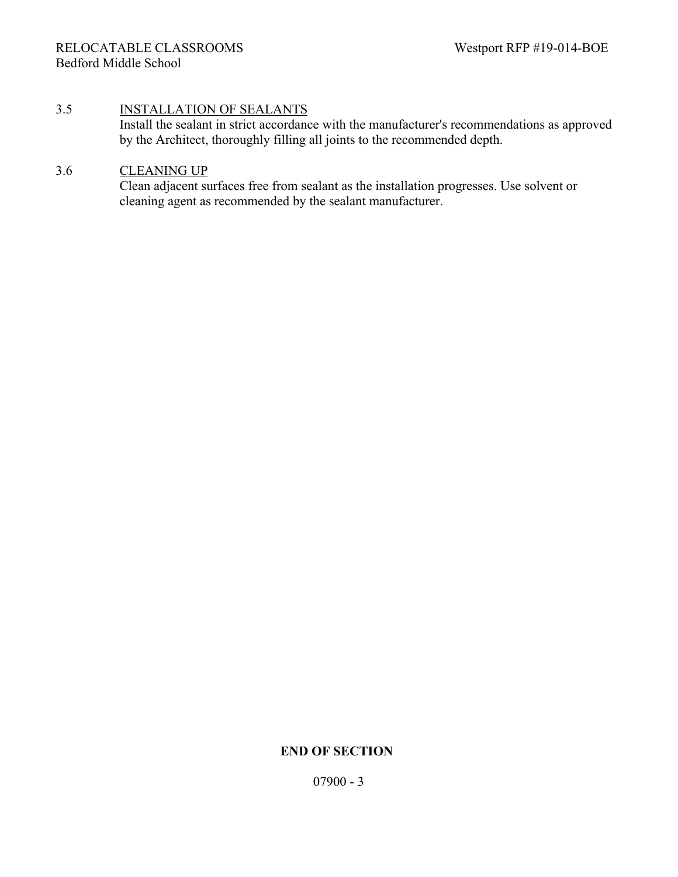#### 3.5 INSTALLATION OF SEALANTS

Install the sealant in strict accordance with the manufacturer's recommendations as approved by the Architect, thoroughly filling all joints to the recommended depth.

## 3.6 CLEANING UP

Clean adjacent surfaces free from sealant as the installation progresses. Use solvent or cleaning agent as recommended by the sealant manufacturer.

## **END OF SECTION**

07900 - 3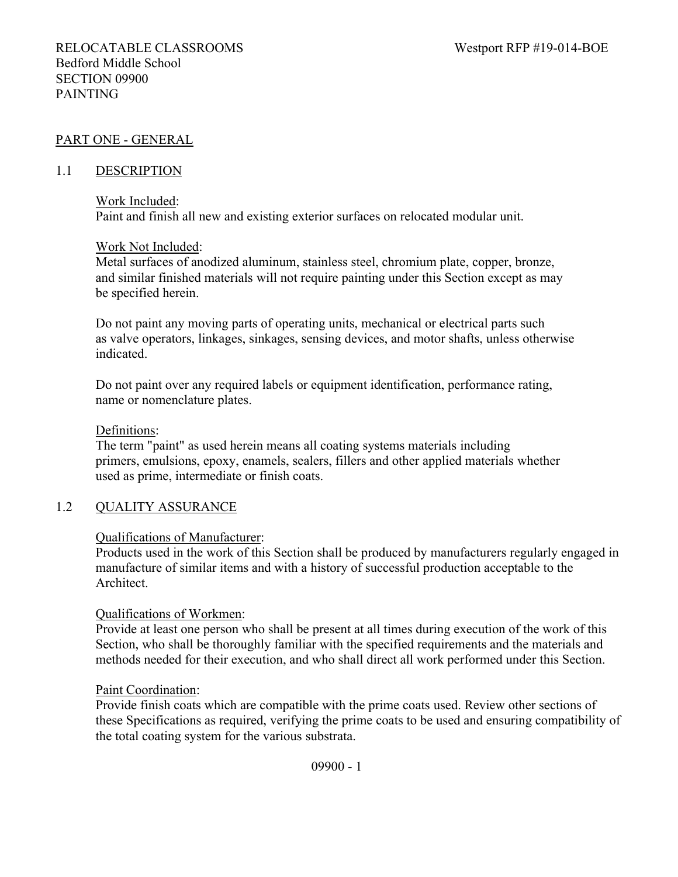## PART ONE - GENERAL

#### 1.1 DESCRIPTION

#### Work Included:

Paint and finish all new and existing exterior surfaces on relocated modular unit.

#### Work Not Included:

Metal surfaces of anodized aluminum, stainless steel, chromium plate, copper, bronze, and similar finished materials will not require painting under this Section except as may be specified herein.

Do not paint any moving parts of operating units, mechanical or electrical parts such as valve operators, linkages, sinkages, sensing devices, and motor shafts, unless otherwise indicated.

Do not paint over any required labels or equipment identification, performance rating, name or nomenclature plates.

#### Definitions:

The term "paint" as used herein means all coating systems materials including primers, emulsions, epoxy, enamels, sealers, fillers and other applied materials whether used as prime, intermediate or finish coats.

## 1.2 QUALITY ASSURANCE

## Qualifications of Manufacturer:

Products used in the work of this Section shall be produced by manufacturers regularly engaged in manufacture of similar items and with a history of successful production acceptable to the Architect.

## Qualifications of Workmen:

Provide at least one person who shall be present at all times during execution of the work of this Section, who shall be thoroughly familiar with the specified requirements and the materials and methods needed for their execution, and who shall direct all work performed under this Section.

#### Paint Coordination:

Provide finish coats which are compatible with the prime coats used. Review other sections of these Specifications as required, verifying the prime coats to be used and ensuring compatibility of the total coating system for the various substrata.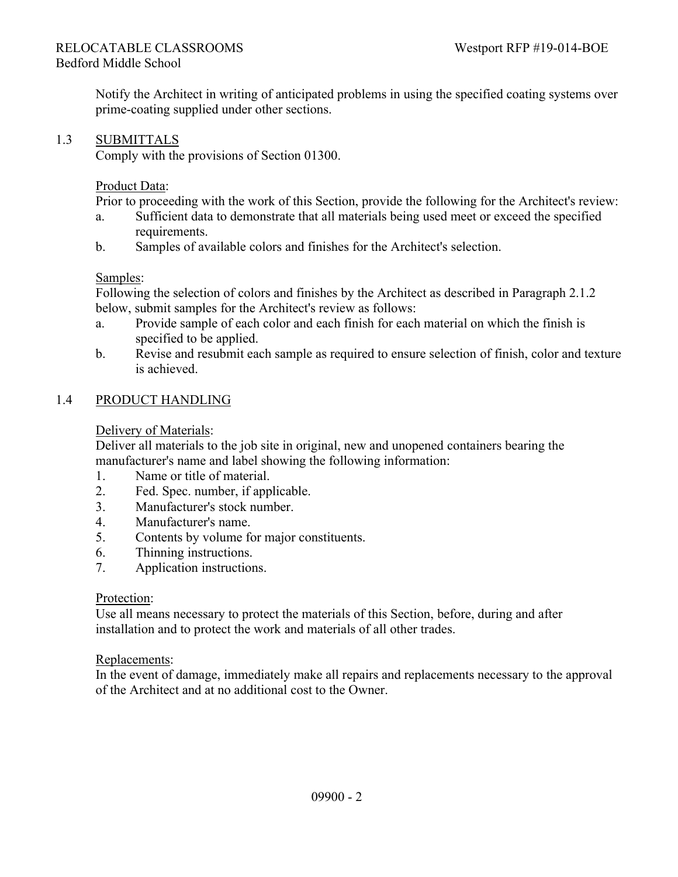Notify the Architect in writing of anticipated problems in using the specified coating systems over prime-coating supplied under other sections.

## 1.3 SUBMITTALS

Comply with the provisions of Section 01300.

#### Product Data:

Prior to proceeding with the work of this Section, provide the following for the Architect's review:

- a. Sufficient data to demonstrate that all materials being used meet or exceed the specified requirements.
- b. Samples of available colors and finishes for the Architect's selection.

#### Samples:

Following the selection of colors and finishes by the Architect as described in Paragraph 2.1.2 below, submit samples for the Architect's review as follows:

- a. Provide sample of each color and each finish for each material on which the finish is specified to be applied.
- b. Revise and resubmit each sample as required to ensure selection of finish, color and texture is achieved.

#### 1.4 PRODUCT HANDLING

### Delivery of Materials:

Deliver all materials to the job site in original, new and unopened containers bearing the manufacturer's name and label showing the following information:

- 1. Name or title of material.
- 2. Fed. Spec. number, if applicable.
- 3. Manufacturer's stock number.
- 4. Manufacturer's name.
- 5. Contents by volume for major constituents.
- 6. Thinning instructions.
- 7. Application instructions.

#### Protection:

Use all means necessary to protect the materials of this Section, before, during and after installation and to protect the work and materials of all other trades.

#### Replacements:

In the event of damage, immediately make all repairs and replacements necessary to the approval of the Architect and at no additional cost to the Owner.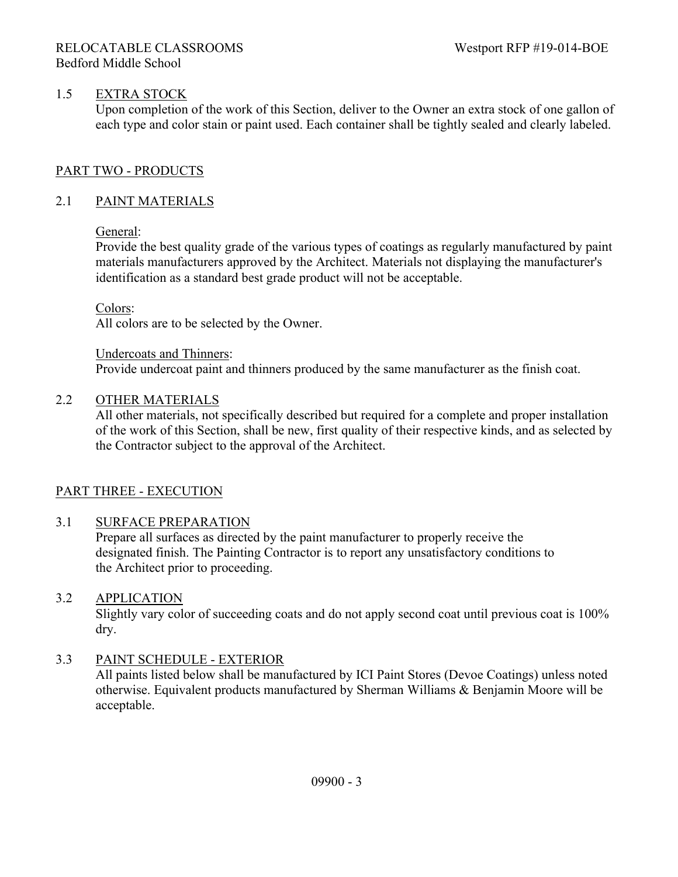## 1.5 EXTRA STOCK

Upon completion of the work of this Section, deliver to the Owner an extra stock of one gallon of each type and color stain or paint used. Each container shall be tightly sealed and clearly labeled.

## PART TWO - PRODUCTS

## 2.1 PAINT MATERIALS

## General:

Provide the best quality grade of the various types of coatings as regularly manufactured by paint materials manufacturers approved by the Architect. Materials not displaying the manufacturer's identification as a standard best grade product will not be acceptable.

### Colors:

All colors are to be selected by the Owner.

Undercoats and Thinners: Provide undercoat paint and thinners produced by the same manufacturer as the finish coat.

### 2.2 OTHER MATERIALS

All other materials, not specifically described but required for a complete and proper installation of the work of this Section, shall be new, first quality of their respective kinds, and as selected by the Contractor subject to the approval of the Architect.

## PART THREE - EXECUTION

## 3.1 SURFACE PREPARATION

Prepare all surfaces as directed by the paint manufacturer to properly receive the designated finish. The Painting Contractor is to report any unsatisfactory conditions to the Architect prior to proceeding.

## 3.2 APPLICATION

Slightly vary color of succeeding coats and do not apply second coat until previous coat is 100% dry.

## 3.3 PAINT SCHEDULE - EXTERIOR

All paints listed below shall be manufactured by ICI Paint Stores (Devoe Coatings) unless noted otherwise. Equivalent products manufactured by Sherman Williams & Benjamin Moore will be acceptable.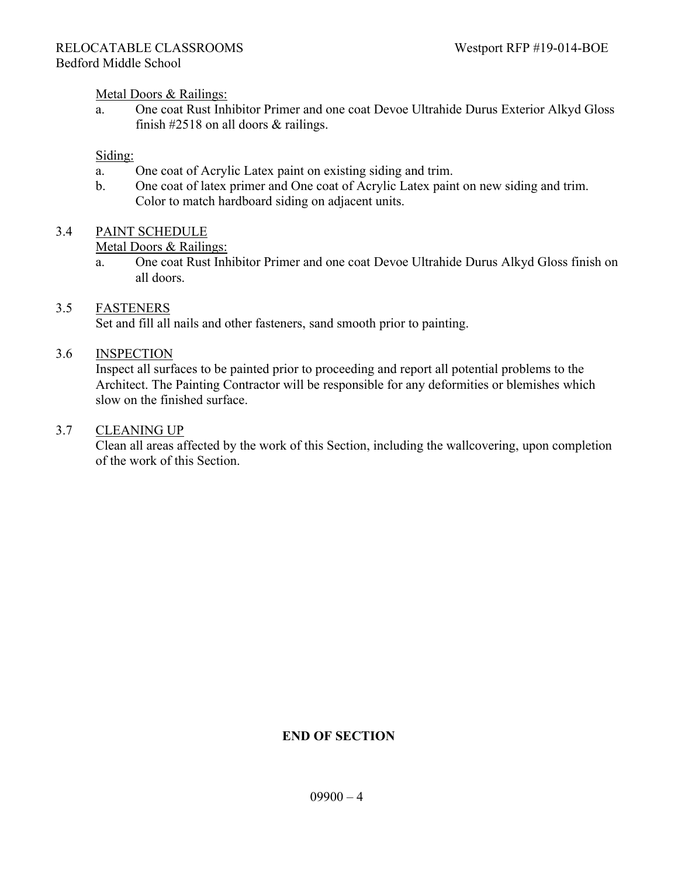#### Metal Doors & Railings:

a. One coat Rust Inhibitor Primer and one coat Devoe Ultrahide Durus Exterior Alkyd Gloss finish  $\#2518$  on all doors & railings.

#### Siding:

- a. One coat of Acrylic Latex paint on existing siding and trim.
- b. One coat of latex primer and One coat of Acrylic Latex paint on new siding and trim. Color to match hardboard siding on adjacent units.

## 3.4 PAINT SCHEDULE

#### Metal Doors & Railings:

a. One coat Rust Inhibitor Primer and one coat Devoe Ultrahide Durus Alkyd Gloss finish on all doors.

### 3.5 FASTENERS

Set and fill all nails and other fasteners, sand smooth prior to painting.

### 3.6 INSPECTION

Inspect all surfaces to be painted prior to proceeding and report all potential problems to the Architect. The Painting Contractor will be responsible for any deformities or blemishes which slow on the finished surface.

#### 3.7 CLEANING UP

Clean all areas affected by the work of this Section, including the wallcovering, upon completion of the work of this Section.

## **END OF SECTION**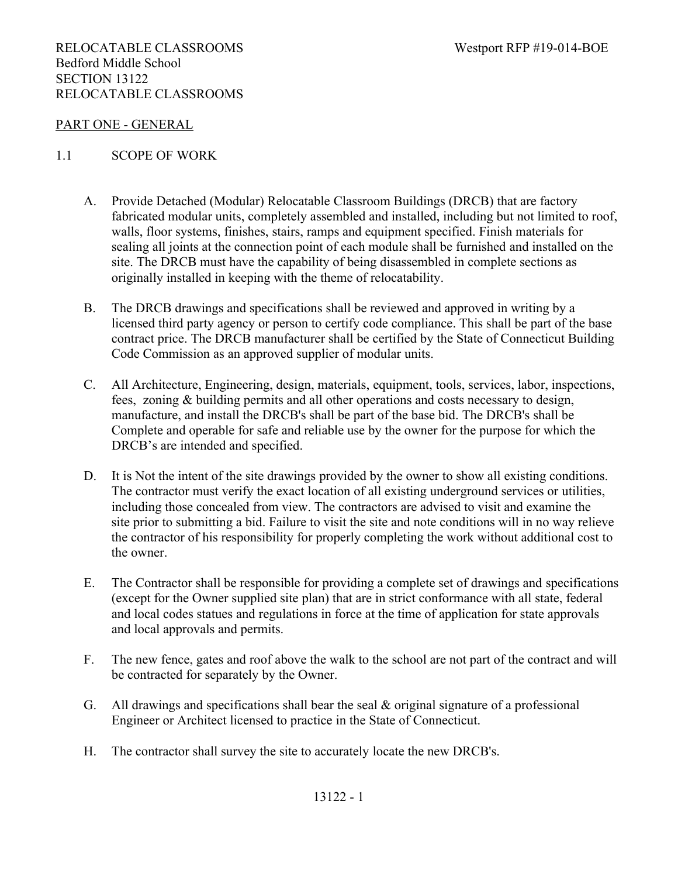#### PART ONE - GENERAL

#### 1.1 SCOPE OF WORK

- A. Provide Detached (Modular) Relocatable Classroom Buildings (DRCB) that are factory fabricated modular units, completely assembled and installed, including but not limited to roof, walls, floor systems, finishes, stairs, ramps and equipment specified. Finish materials for sealing all joints at the connection point of each module shall be furnished and installed on the site. The DRCB must have the capability of being disassembled in complete sections as originally installed in keeping with the theme of relocatability.
- B. The DRCB drawings and specifications shall be reviewed and approved in writing by a licensed third party agency or person to certify code compliance. This shall be part of the base contract price. The DRCB manufacturer shall be certified by the State of Connecticut Building Code Commission as an approved supplier of modular units.
- C. All Architecture, Engineering, design, materials, equipment, tools, services, labor, inspections, fees, zoning & building permits and all other operations and costs necessary to design, manufacture, and install the DRCB's shall be part of the base bid. The DRCB's shall be Complete and operable for safe and reliable use by the owner for the purpose for which the DRCB's are intended and specified.
- D. It is Not the intent of the site drawings provided by the owner to show all existing conditions. The contractor must verify the exact location of all existing underground services or utilities, including those concealed from view. The contractors are advised to visit and examine the site prior to submitting a bid. Failure to visit the site and note conditions will in no way relieve the contractor of his responsibility for properly completing the work without additional cost to the owner.
- E. The Contractor shall be responsible for providing a complete set of drawings and specifications (except for the Owner supplied site plan) that are in strict conformance with all state, federal and local codes statues and regulations in force at the time of application for state approvals and local approvals and permits.
- F. The new fence, gates and roof above the walk to the school are not part of the contract and will be contracted for separately by the Owner.
- G. All drawings and specifications shall bear the seal & original signature of a professional Engineer or Architect licensed to practice in the State of Connecticut.
- H. The contractor shall survey the site to accurately locate the new DRCB's.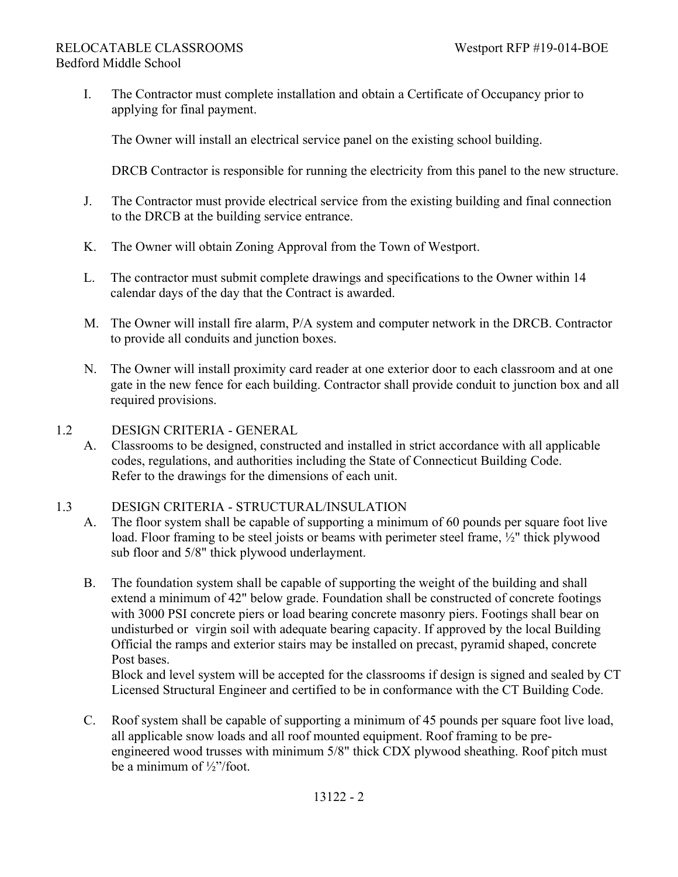I. The Contractor must complete installation and obtain a Certificate of Occupancy prior to applying for final payment.

The Owner will install an electrical service panel on the existing school building.

DRCB Contractor is responsible for running the electricity from this panel to the new structure.

- J. The Contractor must provide electrical service from the existing building and final connection to the DRCB at the building service entrance.
- K. The Owner will obtain Zoning Approval from the Town of Westport.
- L. The contractor must submit complete drawings and specifications to the Owner within 14 calendar days of the day that the Contract is awarded.
- M. The Owner will install fire alarm, P/A system and computer network in the DRCB. Contractor to provide all conduits and junction boxes.
- N. The Owner will install proximity card reader at one exterior door to each classroom and at one gate in the new fence for each building. Contractor shall provide conduit to junction box and all required provisions.
- 1.2 DESIGN CRITERIA GENERAL
	- A. Classrooms to be designed, constructed and installed in strict accordance with all applicable codes, regulations, and authorities including the State of Connecticut Building Code. Refer to the drawings for the dimensions of each unit.

## 1.3 DESIGN CRITERIA - STRUCTURAL/INSULATION

- A. The floor system shall be capable of supporting a minimum of 60 pounds per square foot live load. Floor framing to be steel joists or beams with perimeter steel frame, ½" thick plywood sub floor and 5/8" thick plywood underlayment.
- B. The foundation system shall be capable of supporting the weight of the building and shall extend a minimum of 42" below grade. Foundation shall be constructed of concrete footings with 3000 PSI concrete piers or load bearing concrete masonry piers. Footings shall bear on undisturbed or virgin soil with adequate bearing capacity. If approved by the local Building Official the ramps and exterior stairs may be installed on precast, pyramid shaped, concrete Post bases.

Block and level system will be accepted for the classrooms if design is signed and sealed by CT Licensed Structural Engineer and certified to be in conformance with the CT Building Code.

C. Roof system shall be capable of supporting a minimum of 45 pounds per square foot live load, all applicable snow loads and all roof mounted equipment. Roof framing to be pre engineered wood trusses with minimum 5/8" thick CDX plywood sheathing. Roof pitch must be a minimum of ½"/foot.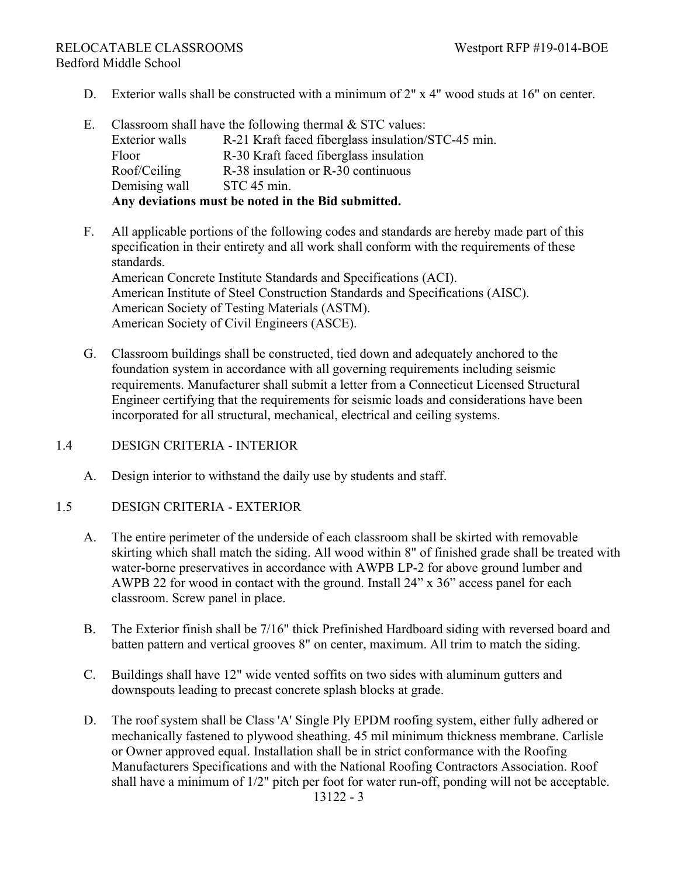- D. Exterior walls shall be constructed with a minimum of 2" x 4" wood studs at 16" on center.
- E. Classroom shall have the following thermal  $&$  STC values: Exterior walls R-21 Kraft faced fiberglass insulation/STC-45 min. Floor R-30 Kraft faced fiberglass insulation Roof/Ceiling R-38 insulation or R-30 continuous Demising wall STC 45 min. **Any deviations must be noted in the Bid submitted.**
- F. All applicable portions of the following codes and standards are hereby made part of this specification in their entirety and all work shall conform with the requirements of these standards. American Concrete Institute Standards and Specifications (ACI). American Institute of Steel Construction Standards and Specifications (AISC). American Society of Testing Materials (ASTM). American Society of Civil Engineers (ASCE).
- G. Classroom buildings shall be constructed, tied down and adequately anchored to the foundation system in accordance with all governing requirements including seismic requirements. Manufacturer shall submit a letter from a Connecticut Licensed Structural Engineer certifying that the requirements for seismic loads and considerations have been incorporated for all structural, mechanical, electrical and ceiling systems.
- 1.4 DESIGN CRITERIA INTERIOR
	- A. Design interior to withstand the daily use by students and staff.
- 1.5 DESIGN CRITERIA EXTERIOR
	- A. The entire perimeter of the underside of each classroom shall be skirted with removable skirting which shall match the siding. All wood within 8" of finished grade shall be treated with water-borne preservatives in accordance with AWPB LP-2 for above ground lumber and AWPB 22 for wood in contact with the ground. Install 24" x 36" access panel for each classroom. Screw panel in place.
	- B. The Exterior finish shall be 7/16" thick Prefinished Hardboard siding with reversed board and batten pattern and vertical grooves 8" on center, maximum. All trim to match the siding.
	- C. Buildings shall have 12" wide vented soffits on two sides with aluminum gutters and downspouts leading to precast concrete splash blocks at grade.
	- D. The roof system shall be Class 'A' Single Ply EPDM roofing system, either fully adhered or mechanically fastened to plywood sheathing. 45 mil minimum thickness membrane. Carlisle or Owner approved equal. Installation shall be in strict conformance with the Roofing Manufacturers Specifications and with the National Roofing Contractors Association. Roof shall have a minimum of 1/2" pitch per foot for water run-off, ponding will not be acceptable. 13122 - 3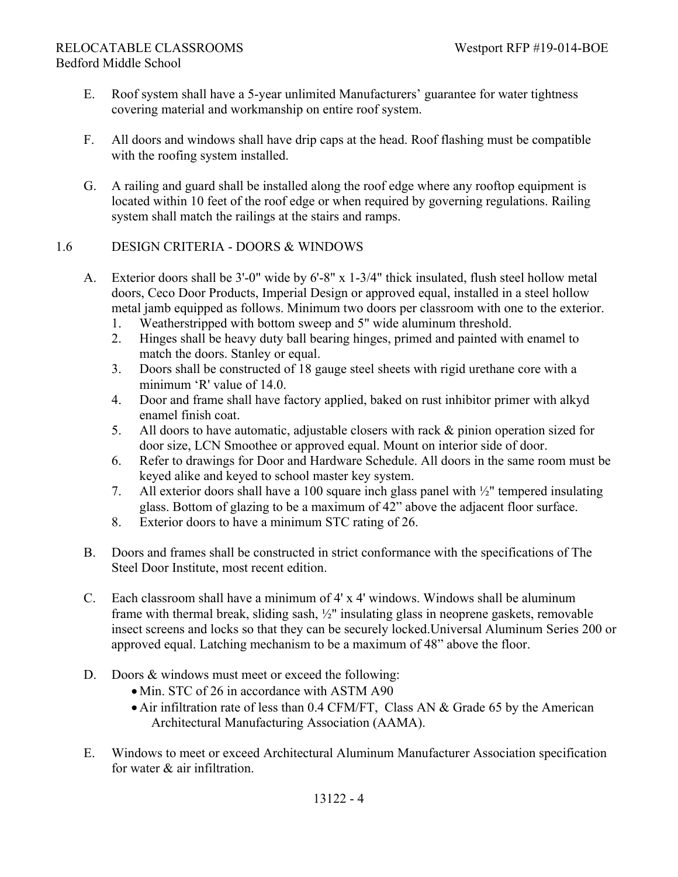- E. Roof system shall have a 5-year unlimited Manufacturers' guarantee for water tightness covering material and workmanship on entire roof system.
- F. All doors and windows shall have drip caps at the head. Roof flashing must be compatible with the roofing system installed.
- G. A railing and guard shall be installed along the roof edge where any rooftop equipment is located within 10 feet of the roof edge or when required by governing regulations. Railing system shall match the railings at the stairs and ramps.

## 1.6 DESIGN CRITERIA - DOORS & WINDOWS

- A. Exterior doors shall be 3'-0" wide by 6'-8" x 1-3/4" thick insulated, flush steel hollow metal doors, Ceco Door Products, Imperial Design or approved equal, installed in a steel hollow metal jamb equipped as follows. Minimum two doors per classroom with one to the exterior.
	- 1. Weatherstripped with bottom sweep and 5" wide aluminum threshold.
	- 2. Hinges shall be heavy duty ball bearing hinges, primed and painted with enamel to match the doors. Stanley or equal.
	- 3. Doors shall be constructed of 18 gauge steel sheets with rigid urethane core with a minimum 'R' value of 14.0.
	- 4. Door and frame shall have factory applied, baked on rust inhibitor primer with alkyd enamel finish coat.
	- 5. All doors to have automatic, adjustable closers with rack & pinion operation sized for door size, LCN Smoothee or approved equal. Mount on interior side of door.
	- 6. Refer to drawings for Door and Hardware Schedule. All doors in the same room must be keyed alike and keyed to school master key system.
	- 7. All exterior doors shall have a 100 square inch glass panel with ½" tempered insulating glass. Bottom of glazing to be a maximum of 42" above the adjacent floor surface.
	- 8. Exterior doors to have a minimum STC rating of 26.
- B. Doors and frames shall be constructed in strict conformance with the specifications of The Steel Door Institute, most recent edition.
- C. Each classroom shall have a minimum of 4' x 4' windows. Windows shall be aluminum frame with thermal break, sliding sash, ½" insulating glass in neoprene gaskets, removable insect screens and locks so that they can be securely locked.Universal Aluminum Series 200 or approved equal. Latching mechanism to be a maximum of 48" above the floor.
- D. Doors & windows must meet or exceed the following:
	- Min. STC of 26 in accordance with ASTM A90
	- Air infiltration rate of less than 0.4 CFM/FT, Class AN & Grade 65 by the American Architectural Manufacturing Association (AAMA).
- E. Windows to meet or exceed Architectural Aluminum Manufacturer Association specification for water & air infiltration.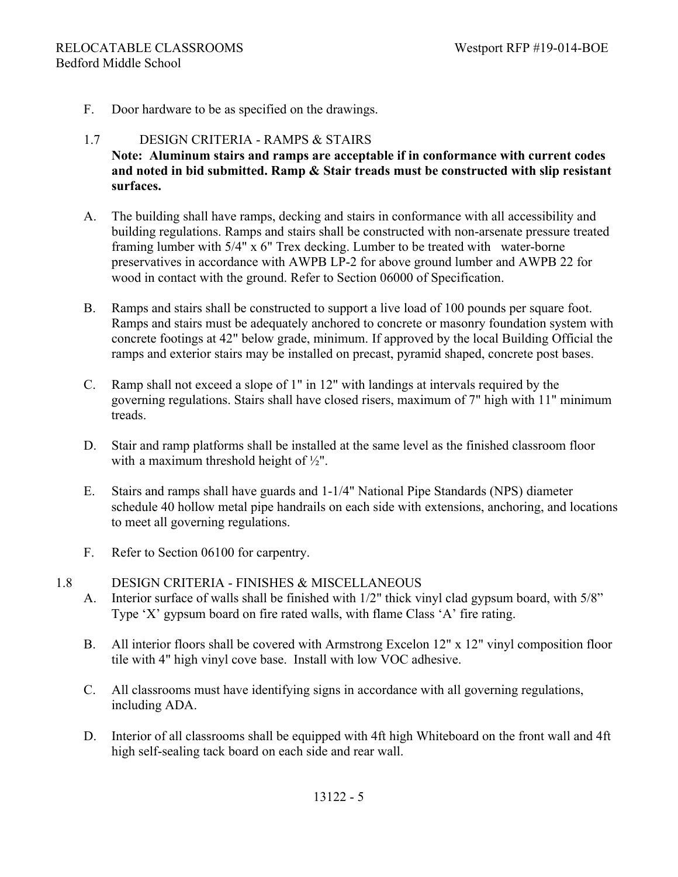F. Door hardware to be as specified on the drawings.

## 1.7 DESIGN CRITERIA - RAMPS & STAIRS **Note: Aluminum stairs and ramps are acceptable if in conformance with current codes and noted in bid submitted. Ramp & Stair treads must be constructed with slip resistant surfaces.**

- A. The building shall have ramps, decking and stairs in conformance with all accessibility and building regulations. Ramps and stairs shall be constructed with non-arsenate pressure treated framing lumber with 5/4" x 6" Trex decking. Lumber to be treated with water-borne preservatives in accordance with AWPB LP-2 for above ground lumber and AWPB 22 for wood in contact with the ground. Refer to Section 06000 of Specification.
- B. Ramps and stairs shall be constructed to support a live load of 100 pounds per square foot. Ramps and stairs must be adequately anchored to concrete or masonry foundation system with concrete footings at 42" below grade, minimum. If approved by the local Building Official the ramps and exterior stairs may be installed on precast, pyramid shaped, concrete post bases.
- C. Ramp shall not exceed a slope of 1" in 12" with landings at intervals required by the governing regulations. Stairs shall have closed risers, maximum of 7" high with 11" minimum treads.
- D. Stair and ramp platforms shall be installed at the same level as the finished classroom floor with a maximum threshold height of ½".
- E. Stairs and ramps shall have guards and 1-1/4" National Pipe Standards (NPS) diameter schedule 40 hollow metal pipe handrails on each side with extensions, anchoring, and locations to meet all governing regulations.
- F. Refer to Section 06100 for carpentry.
- 1.8 DESIGN CRITERIA FINISHES & MISCELLANEOUS A. Interior surface of walls shall be finished with 1/2" thick vinyl clad gypsum board, with 5/8" Type 'X' gypsum board on fire rated walls, with flame Class 'A' fire rating.
	- B. All interior floors shall be covered with Armstrong Excelon 12" x 12" vinyl composition floor tile with 4" high vinyl cove base. Install with low VOC adhesive.
	- C. All classrooms must have identifying signs in accordance with all governing regulations, including ADA.
	- D. Interior of all classrooms shall be equipped with 4ft high Whiteboard on the front wall and 4ft high self-sealing tack board on each side and rear wall.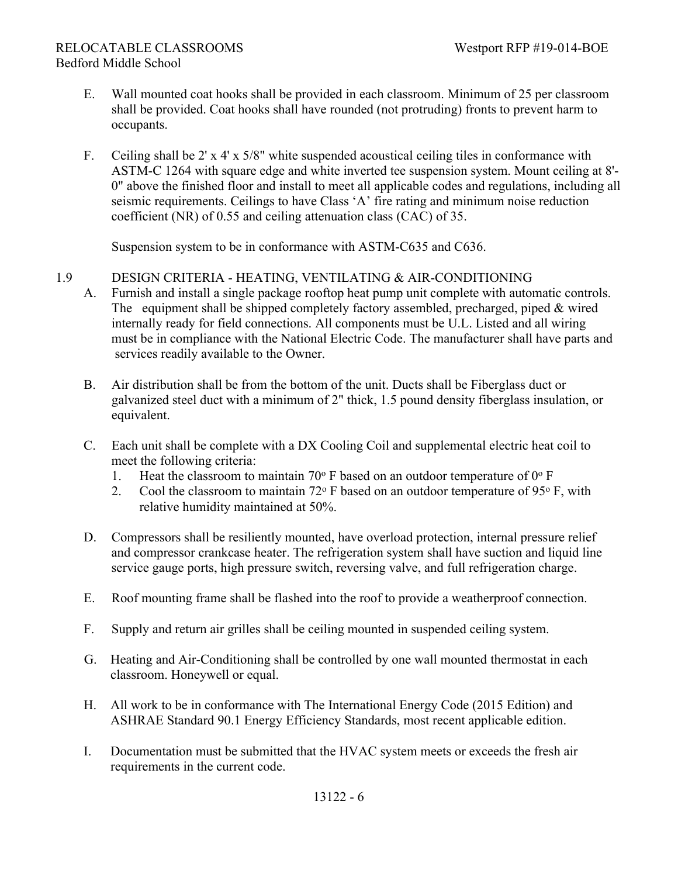- E. Wall mounted coat hooks shall be provided in each classroom. Minimum of 25 per classroom shall be provided. Coat hooks shall have rounded (not protruding) fronts to prevent harm to occupants.
- F. Ceiling shall be 2' x 4' x 5/8" white suspended acoustical ceiling tiles in conformance with ASTM-C 1264 with square edge and white inverted tee suspension system. Mount ceiling at 8'- 0" above the finished floor and install to meet all applicable codes and regulations, including all seismic requirements. Ceilings to have Class 'A' fire rating and minimum noise reduction coefficient (NR) of 0.55 and ceiling attenuation class (CAC) of 35.

Suspension system to be in conformance with ASTM-C635 and C636.

## 1.9 DESIGN CRITERIA - HEATING, VENTILATING & AIR-CONDITIONING

- A. Furnish and install a single package rooftop heat pump unit complete with automatic controls. The equipment shall be shipped completely factory assembled, precharged, piped & wired internally ready for field connections. All components must be U.L. Listed and all wiring must be in compliance with the National Electric Code. The manufacturer shall have parts and services readily available to the Owner.
- B. Air distribution shall be from the bottom of the unit. Ducts shall be Fiberglass duct or galvanized steel duct with a minimum of 2" thick, 1.5 pound density fiberglass insulation, or equivalent.
- C. Each unit shall be complete with a DX Cooling Coil and supplemental electric heat coil to meet the following criteria:
	- 1. Heat the classroom to maintain 70 $\degree$  F based on an outdoor temperature of 0 $\degree$  F
	- 2. Cool the classroom to maintain  $72^{\circ}$  F based on an outdoor temperature of  $95^{\circ}$  F, with relative humidity maintained at 50%.
- D. Compressors shall be resiliently mounted, have overload protection, internal pressure relief and compressor crankcase heater. The refrigeration system shall have suction and liquid line service gauge ports, high pressure switch, reversing valve, and full refrigeration charge.
- E. Roof mounting frame shall be flashed into the roof to provide a weatherproof connection.
- F. Supply and return air grilles shall be ceiling mounted in suspended ceiling system.
- G. Heating and Air-Conditioning shall be controlled by one wall mounted thermostat in each classroom. Honeywell or equal.
- H. All work to be in conformance with The International Energy Code (2015 Edition) and ASHRAE Standard 90.1 Energy Efficiency Standards, most recent applicable edition.
- I. Documentation must be submitted that the HVAC system meets or exceeds the fresh air requirements in the current code.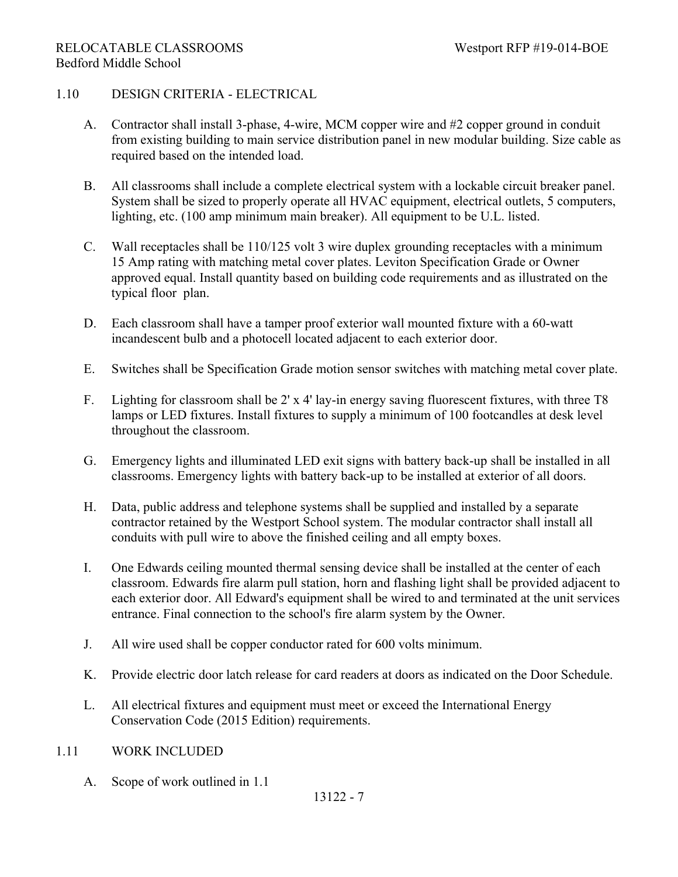## 1.10 DESIGN CRITERIA - ELECTRICAL

- A. Contractor shall install 3-phase, 4-wire, MCM copper wire and #2 copper ground in conduit from existing building to main service distribution panel in new modular building. Size cable as required based on the intended load.
- B. All classrooms shall include a complete electrical system with a lockable circuit breaker panel. System shall be sized to properly operate all HVAC equipment, electrical outlets, 5 computers, lighting, etc. (100 amp minimum main breaker). All equipment to be U.L. listed.
- C. Wall receptacles shall be 110/125 volt 3 wire duplex grounding receptacles with a minimum 15 Amp rating with matching metal cover plates. Leviton Specification Grade or Owner approved equal. Install quantity based on building code requirements and as illustrated on the typical floor plan.
- D. Each classroom shall have a tamper proof exterior wall mounted fixture with a 60-watt incandescent bulb and a photocell located adjacent to each exterior door.
- E. Switches shall be Specification Grade motion sensor switches with matching metal cover plate.
- F. Lighting for classroom shall be 2' x 4' lay-in energy saving fluorescent fixtures, with three T8 lamps or LED fixtures. Install fixtures to supply a minimum of 100 footcandles at desk level throughout the classroom.
- G. Emergency lights and illuminated LED exit signs with battery back-up shall be installed in all classrooms. Emergency lights with battery back-up to be installed at exterior of all doors.
- H. Data, public address and telephone systems shall be supplied and installed by a separate contractor retained by the Westport School system. The modular contractor shall install all conduits with pull wire to above the finished ceiling and all empty boxes.
- I. One Edwards ceiling mounted thermal sensing device shall be installed at the center of each classroom. Edwards fire alarm pull station, horn and flashing light shall be provided adjacent to each exterior door. All Edward's equipment shall be wired to and terminated at the unit services entrance. Final connection to the school's fire alarm system by the Owner.
- J. All wire used shall be copper conductor rated for 600 volts minimum.
- K. Provide electric door latch release for card readers at doors as indicated on the Door Schedule.
- L. All electrical fixtures and equipment must meet or exceed the International Energy Conservation Code (2015 Edition) requirements.

## 1.11 WORK INCLUDED

A. Scope of work outlined in 1.1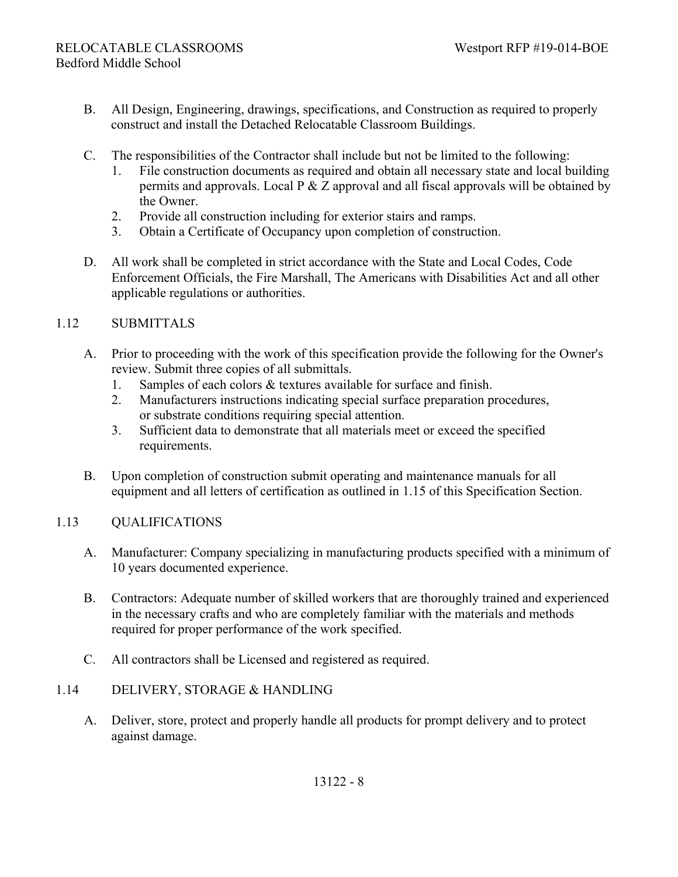- B. All Design, Engineering, drawings, specifications, and Construction as required to properly construct and install the Detached Relocatable Classroom Buildings.
- C. The responsibilities of the Contractor shall include but not be limited to the following:
	- 1. File construction documents as required and obtain all necessary state and local building permits and approvals. Local  $P \& Z$  approval and all fiscal approvals will be obtained by the Owner.
	- 2. Provide all construction including for exterior stairs and ramps.
	- 3. Obtain a Certificate of Occupancy upon completion of construction.
- D. All work shall be completed in strict accordance with the State and Local Codes, Code Enforcement Officials, the Fire Marshall, The Americans with Disabilities Act and all other applicable regulations or authorities.

## 1.12 SUBMITTALS

- A. Prior to proceeding with the work of this specification provide the following for the Owner's review. Submit three copies of all submittals.
	- 1. Samples of each colors & textures available for surface and finish.
	- 2. Manufacturers instructions indicating special surface preparation procedures, or substrate conditions requiring special attention.
	- 3. Sufficient data to demonstrate that all materials meet or exceed the specified requirements.
- B. Upon completion of construction submit operating and maintenance manuals for all equipment and all letters of certification as outlined in 1.15 of this Specification Section.

## 1.13 QUALIFICATIONS

- A. Manufacturer: Company specializing in manufacturing products specified with a minimum of 10 years documented experience.
- B. Contractors: Adequate number of skilled workers that are thoroughly trained and experienced in the necessary crafts and who are completely familiar with the materials and methods required for proper performance of the work specified.
- C. All contractors shall be Licensed and registered as required.

## 1.14 DELIVERY, STORAGE & HANDLING

A. Deliver, store, protect and properly handle all products for prompt delivery and to protect against damage.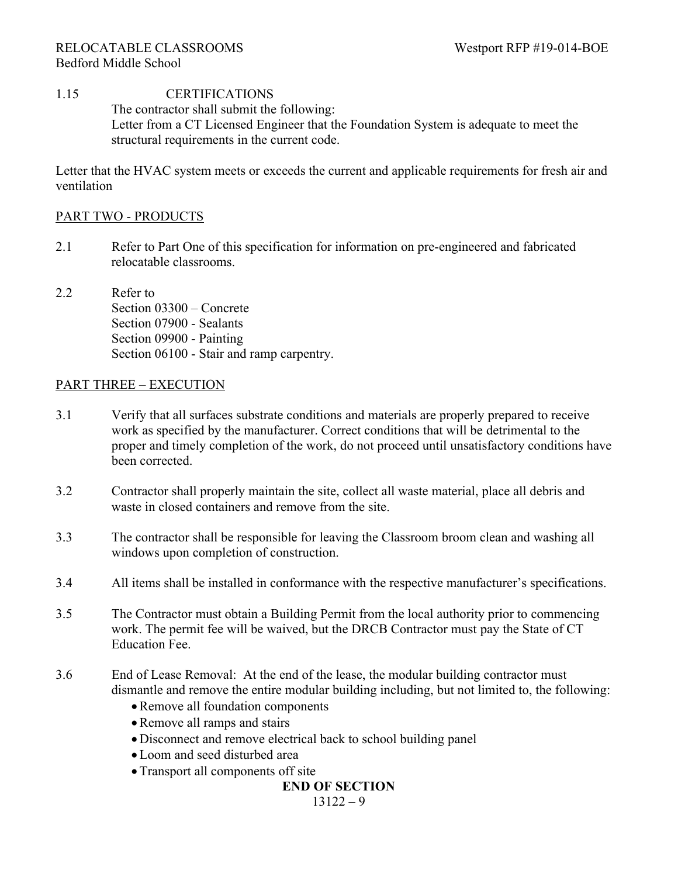## 1.15 CERTIFICATIONS The contractor shall submit the following: Letter from a CT Licensed Engineer that the Foundation System is adequate to meet the structural requirements in the current code.

Letter that the HVAC system meets or exceeds the current and applicable requirements for fresh air and ventilation

## PART TWO - PRODUCTS

- 2.1 Refer to Part One of this specification for information on pre-engineered and fabricated relocatable classrooms.
- 2.2 Refer to Section 03300 – Concrete Section 07900 - Sealants Section 09900 - Painting Section 06100 - Stair and ramp carpentry.

#### PART THREE – EXECUTION

- 3.1 Verify that all surfaces substrate conditions and materials are properly prepared to receive work as specified by the manufacturer. Correct conditions that will be detrimental to the proper and timely completion of the work, do not proceed until unsatisfactory conditions have been corrected.
- 3.2 Contractor shall properly maintain the site, collect all waste material, place all debris and waste in closed containers and remove from the site.
- 3.3 The contractor shall be responsible for leaving the Classroom broom clean and washing all windows upon completion of construction.
- 3.4 All items shall be installed in conformance with the respective manufacturer's specifications.
- 3.5 The Contractor must obtain a Building Permit from the local authority prior to commencing work. The permit fee will be waived, but the DRCB Contractor must pay the State of CT Education Fee.
- 3.6 End of Lease Removal: At the end of the lease, the modular building contractor must dismantle and remove the entire modular building including, but not limited to, the following:
	- Remove all foundation components
	- Remove all ramps and stairs
	- Disconnect and remove electrical back to school building panel
	- Loom and seed disturbed area
	- Transport all components off site

### **END OF SECTION**

 $13122 - 9$